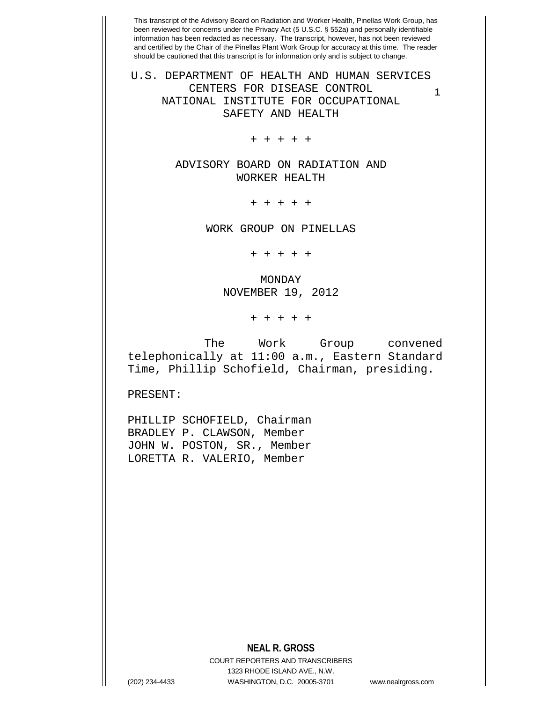1 U.S. DEPARTMENT OF HEALTH AND HUMAN SERVICES CENTERS FOR DISEASE CONTROL NATIONAL INSTITUTE FOR OCCUPATIONAL SAFETY AND HEALTH

+ + + + +

ADVISORY BOARD ON RADIATION AND WORKER HEALTH

+ + + + +

WORK GROUP ON PINELLAS

+ + + + +

MONDAY NOVEMBER 19, 2012

+ + + + +

 The Work Group convened telephonically at 11:00 a.m., Eastern Standard Time, Phillip Schofield, Chairman, presiding.

PRESENT:

PHILLIP SCHOFIELD, Chairman BRADLEY P. CLAWSON, Member JOHN W. POSTON, SR., Member LORETTA R. VALERIO, Member

## **NEAL R. GROSS**

COURT REPORTERS AND TRANSCRIBERS 1323 RHODE ISLAND AVE., N.W. (202) 234-4433 WASHINGTON, D.C. 20005-3701 www.nealrgross.com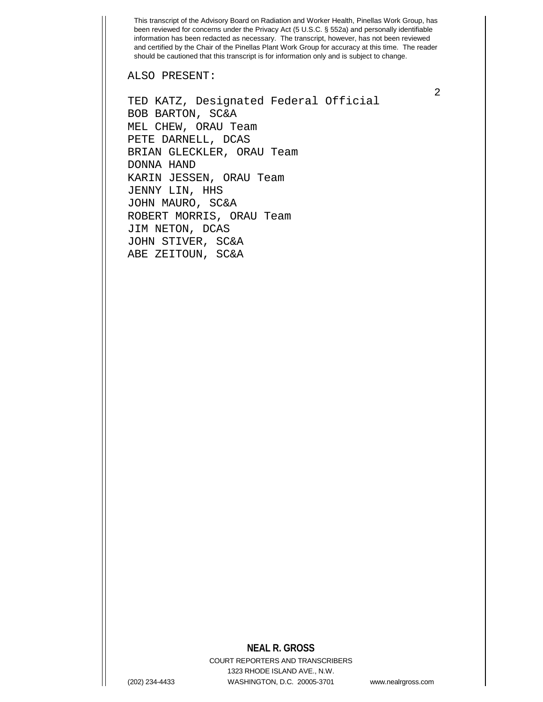ALSO PRESENT:

TED KATZ, Designated Federal Official BOB BARTON, SC&A MEL CHEW, ORAU Team PETE DARNELL, DCAS BRIAN GLECKLER, ORAU Team DONNA HAND KARIN JESSEN, ORAU Team JENNY LIN, HHS JOHN MAURO, SC&A ROBERT MORRIS, ORAU Team JIM NETON, DCAS JOHN STIVER, SC&A ABE ZEITOUN, SC&A

## **NEAL R. GROSS**

COURT REPORTERS AND TRANSCRIBERS 1323 RHODE ISLAND AVE., N.W. (202) 234-4433 WASHINGTON, D.C. 20005-3701 www.nealrgross.com

2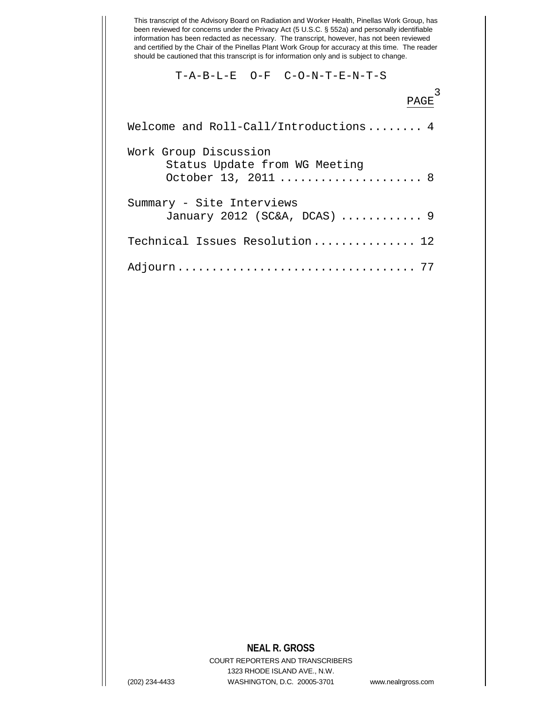T-A-B-L-E O-F C-O-N-T-E-N-T-S

| PAGE                                                                          |
|-------------------------------------------------------------------------------|
| Welcome and Roll-Call/Introductions 4                                         |
| Work Group Discussion<br>Status Update from WG Meeting<br>October 13, 2011  8 |
| Summary - Site Interviews<br>January 2012 ( $SC&A$ , $DCAS$ )  9              |
| Technical Issues Resolution 12                                                |
|                                                                               |

## **NEAL R. GROSS**

COURT REPORTERS AND TRANSCRIBERS 1323 RHODE ISLAND AVE., N.W. (202) 234-4433 WASHINGTON, D.C. 20005-3701 www.nealrgross.com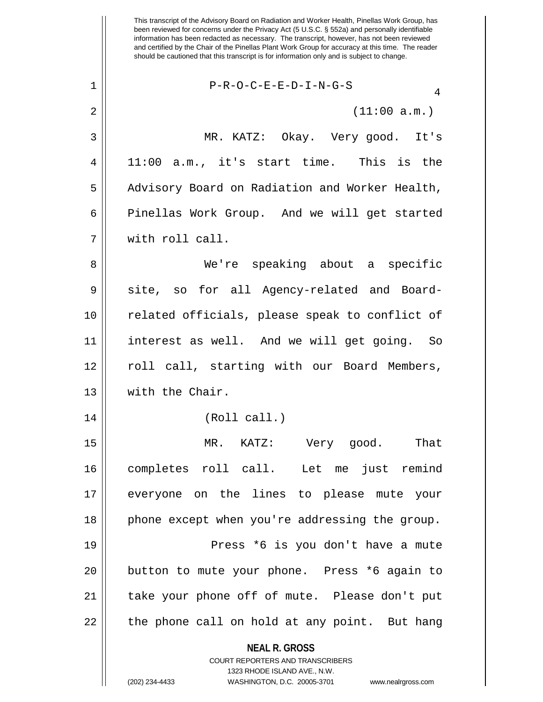**NEAL R. GROSS** COURT REPORTERS AND TRANSCRIBERS  $2 \parallel$  (11:00 a.m.) 3 MR. KATZ: Okay. Very good. It's  $4 \parallel 11:00$  a.m., it's start time. This is the 5 | Advisory Board on Radiation and Worker Health, 6 | Pinellas Work Group. And we will get started 7 with roll call. 8 We're speaking about a specific 9 Site, so for all Agency-related and Board-10 related officials, please speak to conflict of 11 interest as well. And we will get going. So 12 || roll call, starting with our Board Members, 13 | with the Chair. 14 (Roll call.) 15 MR. KATZ: Very good. That 16 completes roll call. Let me just remind 17 everyone on the lines to please mute your 18 || phone except when you're addressing the group. 19 Press \*6 is you don't have a mute 20 || button to mute your phone. Press \*6 again to 21 || take your phone off of mute. Please don't put  $22$  || the phone call on hold at any point. But hang

1323 RHODE ISLAND AVE., N.W.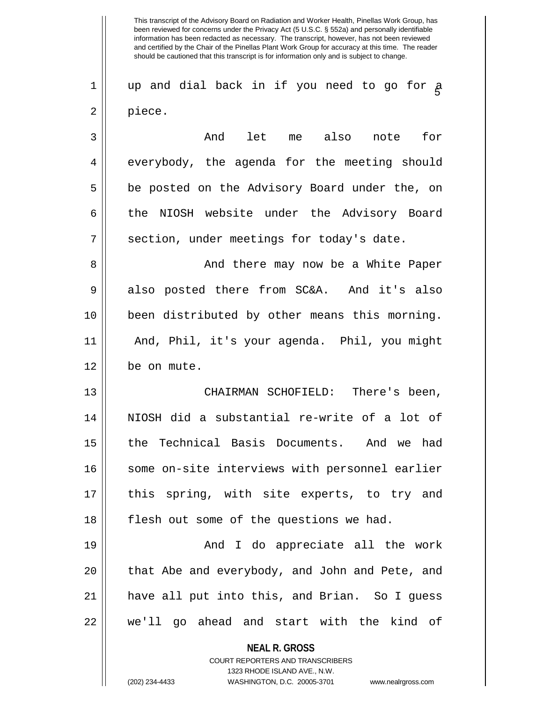1 wp and dial back in if you need to go for a<br> 2 | piece.

3 And let me also note for 4 everybody, the agenda for the meeting should 5 || be posted on the Advisory Board under the, on 6 the NIOSH website under the Advisory Board 7 | section, under meetings for today's date.

8 And there may now be a White Paper  $9 \parallel$  also posted there from SC&A. And it's also 10 been distributed by other means this morning. 11 And, Phil, it's your agenda. Phil, you might 12 be on mute.

13 CHAIRMAN SCHOFIELD: There's been, 14 NIOSH did a substantial re-write of a lot of 15 the Technical Basis Documents. And we had 16 || some on-site interviews with personnel earlier 17 || this spring, with site experts, to try and 18 || flesh out some of the questions we had.

19 And I do appreciate all the work 20 || that Abe and everybody, and John and Pete, and 21 have all put into this, and Brian. So I guess 22 we'll go ahead and start with the kind of

**NEAL R. GROSS**

COURT REPORTERS AND TRANSCRIBERS 1323 RHODE ISLAND AVE., N.W. (202) 234-4433 WASHINGTON, D.C. 20005-3701 www.nealrgross.com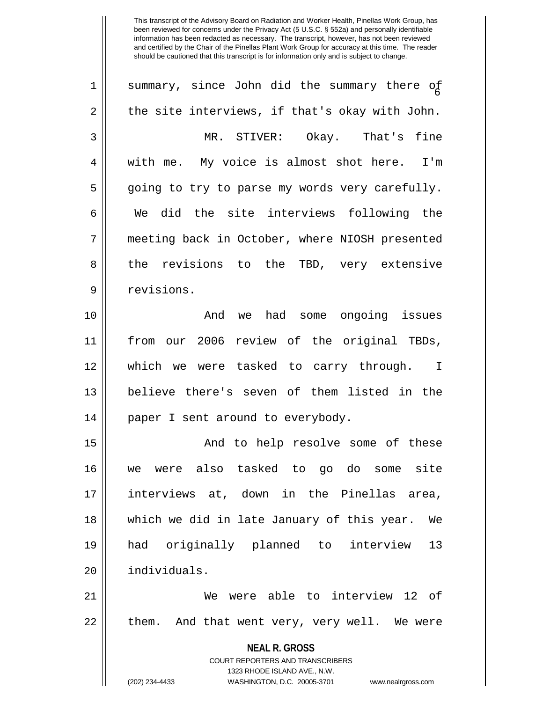| 1  | summary, since John did the summary there of                                                        |
|----|-----------------------------------------------------------------------------------------------------|
| 2  | the site interviews, if that's okay with John.                                                      |
| 3  | MR. STIVER: Okay. That's fine                                                                       |
| 4  | with me. My voice is almost shot here. I'm                                                          |
| 5  | going to try to parse my words very carefully.                                                      |
| 6  | We did the site interviews following the                                                            |
| 7  | meeting back in October, where NIOSH presented                                                      |
| 8  | the revisions to the TBD, very extensive                                                            |
| 9  | revisions.                                                                                          |
| 10 | And we had some ongoing issues                                                                      |
| 11 | from our 2006 review of the original TBDs,                                                          |
| 12 | which we were tasked to carry through. I                                                            |
| 13 | believe there's seven of them listed in the                                                         |
| 14 | paper I sent around to everybody.                                                                   |
| 15 | And to help resolve some of these                                                                   |
| 16 | we were also tasked to go do some site                                                              |
| 17 | interviews at, down in the Pinellas area,                                                           |
| 18 | which we did in late January of this year.<br>We                                                    |
| 19 | had originally planned to interview<br>13                                                           |
| 20 | individuals.                                                                                        |
| 21 | We were able to interview 12 of                                                                     |
| 22 | them. And that went very, very well. We were                                                        |
|    | <b>NEAL R. GROSS</b>                                                                                |
|    | <b>COURT REPORTERS AND TRANSCRIBERS</b>                                                             |
|    | 1323 RHODE ISLAND AVE., N.W.<br>(202) 234-4433<br>WASHINGTON, D.C. 20005-3701<br>www.nealrgross.com |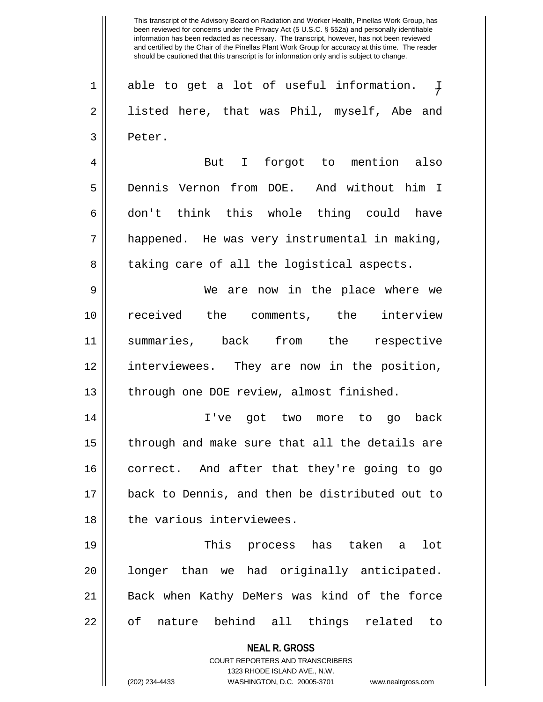$\overline{+}$  $1 \parallel$  able to get a lot of useful information. 2 || listed here, that was Phil, myself, Abe and 3 | Peter.

4 But I forgot to mention also 5 Dennis Vernon from DOE. And without him I 6|| don't think this whole thing could have  $7 \parallel$  happened. He was very instrumental in making, 8 || taking care of all the logistical aspects.

9 We are now in the place where we 10 received the comments, the interview 11 summaries, back from the respective 12 interviewees. They are now in the position, 13 || through one DOE review, almost finished.

14 I've got two more to go back  $15$  || through and make sure that all the details are 16 || correct. And after that they're going to go 17 back to Dennis, and then be distributed out to 18 l the various interviewees.

19 This process has taken a lot 20 || longer than we had originally anticipated. 21 Back when Kathy DeMers was kind of the force 22 || of nature behind all things related to

> **NEAL R. GROSS** COURT REPORTERS AND TRANSCRIBERS

1323 RHODE ISLAND AVE., N.W. (202) 234-4433 WASHINGTON, D.C. 20005-3701 www.nealrgross.com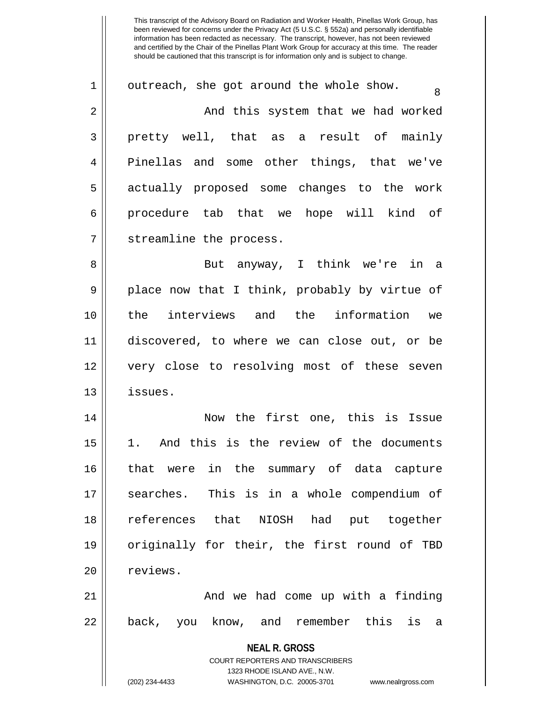| $\mathbf 1$ | outreach, she got around the whole show.<br>8                                                                                                                   |
|-------------|-----------------------------------------------------------------------------------------------------------------------------------------------------------------|
| 2           | And this system that we had worked                                                                                                                              |
| 3           | pretty well, that as a result of mainly                                                                                                                         |
| 4           | Pinellas and some other things, that we've                                                                                                                      |
| 5           | actually proposed some changes to the work                                                                                                                      |
| 6           | procedure tab that we hope will kind of                                                                                                                         |
| 7           | streamline the process.                                                                                                                                         |
| 8           | But anyway, I think we're in a                                                                                                                                  |
| 9           | place now that I think, probably by virtue of                                                                                                                   |
| 10          | the interviews and the information we                                                                                                                           |
| 11          | discovered, to where we can close out, or be                                                                                                                    |
| 12          | very close to resolving most of these seven                                                                                                                     |
| 13          | issues.                                                                                                                                                         |
| 14          | Now the first one, this is Issue                                                                                                                                |
| 15          | 1. And this is the review of the documents                                                                                                                      |
| 16          | that were in the summary of data capture                                                                                                                        |
| 17          | searches. This is in a whole compendium of                                                                                                                      |
| 18          | references that NIOSH had put together                                                                                                                          |
| 19          | originally for their, the first round of TBD                                                                                                                    |
| 20          | reviews.                                                                                                                                                        |
| 21          | And we had come up with a finding                                                                                                                               |
| 22          | back, you know, and remember this<br>is<br>a                                                                                                                    |
|             | <b>NEAL R. GROSS</b><br>COURT REPORTERS AND TRANSCRIBERS<br>1323 RHODE ISLAND AVE., N.W.<br>(202) 234-4433<br>WASHINGTON, D.C. 20005-3701<br>www.nealrgross.com |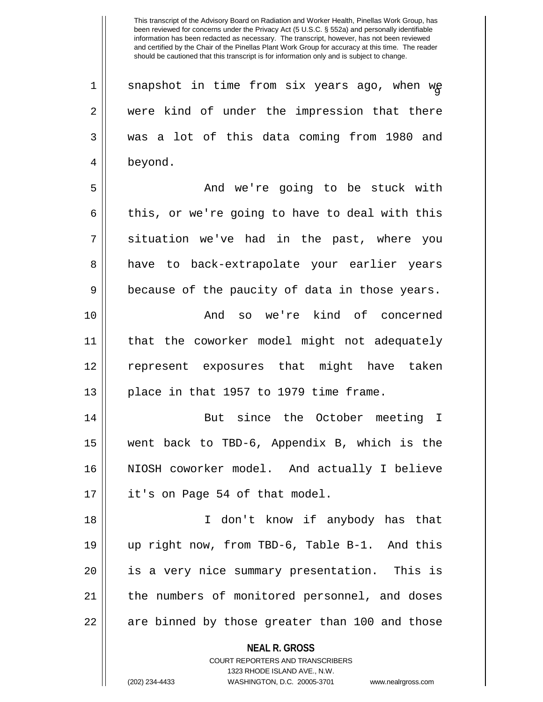$1 <sup>2</sup>$  snapshot in time from six years ago, when we 2 were kind of under the impression that there 3 was a lot of this data coming from 1980 and 4 beyond.

5 And we're going to be stuck with  $6 \parallel$  this, or we're going to have to deal with this  $7 \parallel$  situation we've had in the past, where you 8 have to back-extrapolate your earlier years  $9 \parallel$  because of the paucity of data in those years.

10 And so we're kind of concerned 11 that the coworker model might not adequately 12 represent exposures that might have taken  $13$  || place in that 1957 to 1979 time frame.

14 || But since the October meeting I 15 went back to TBD-6, Appendix B, which is the 16 NIOSH coworker model. And actually I believe  $17 \parallel$  it's on Page 54 of that model.

18 I don't know if anybody has that 19 up right now, from TBD-6, Table B-1. And this 20 || is a very nice summary presentation. This is 21 || the numbers of monitored personnel, and doses  $22 \parallel$  are binned by those greater than 100 and those

**NEAL R. GROSS**

COURT REPORTERS AND TRANSCRIBERS 1323 RHODE ISLAND AVE., N.W. (202) 234-4433 WASHINGTON, D.C. 20005-3701 www.nealrgross.com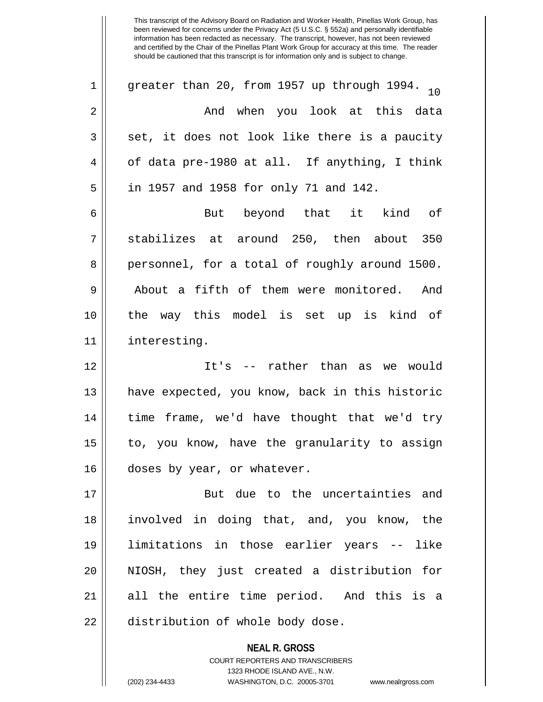| $\mathbf 1$ | greater than 20, from 1957 up through 1994. $_{10}$ |
|-------------|-----------------------------------------------------|
| 2           | And when you look at this data                      |
| 3           | set, it does not look like there is a paucity       |
| 4           | of data pre-1980 at all. If anything, I think       |
| 5           | in 1957 and 1958 for only 71 and 142.               |
| 6           | But beyond that it kind of                          |
| 7           | stabilizes at around 250, then about 350            |
| 8           | personnel, for a total of roughly around 1500.      |
| 9           | About a fifth of them were monitored. And           |
| 10          | the way this model is set up is kind of             |
| 11          | interesting.                                        |
| 12          | It's -- rather than as we would                     |
| 13          | have expected, you know, back in this historic      |
| 14          | time frame, we'd have thought that we'd try         |
| 15          | to, you know, have the granularity to assign        |
| 16          | doses by year, or whatever.                         |
| 17          | But due to the uncertainties and                    |
| 18          | involved in doing that, and, you know, the          |
| 19          | limitations in those earlier years -- like          |
| 20          | NIOSH, they just created a distribution for         |
| 21          | all the entire time period. And this is a           |
| 22          | distribution of whole body dose.                    |
|             |                                                     |

**NEAL R. GROSS** COURT REPORTERS AND TRANSCRIBERS 1323 RHODE ISLAND AVE., N.W.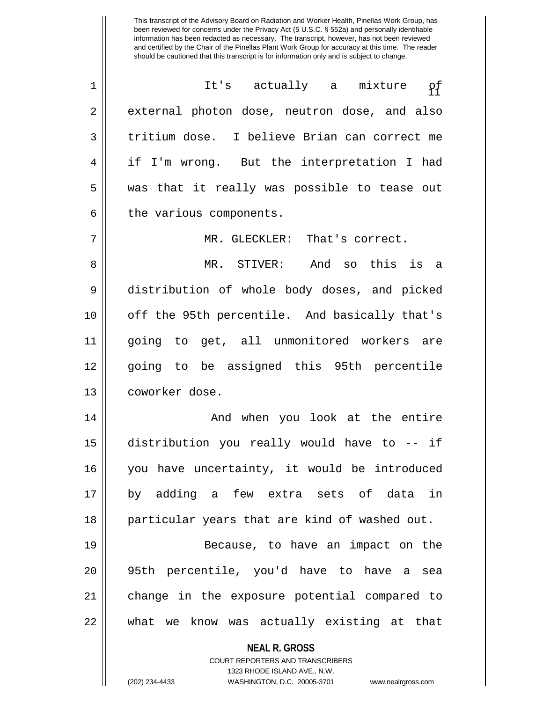| $\mathbf 1$    | It's actually a mixture<br>ρ£                 |
|----------------|-----------------------------------------------|
| 2              | external photon dose, neutron dose, and also  |
| 3              | tritium dose. I believe Brian can correct me  |
| $\overline{4}$ | if I'm wrong. But the interpretation I had    |
| 5              | was that it really was possible to tease out  |
| 6              | the various components.                       |
| 7              | MR. GLECKLER: That's correct.                 |
| 8              | MR. STIVER: And so this is a                  |
| 9              | distribution of whole body doses, and picked  |
| 10             | off the 95th percentile. And basically that's |
| 11             | going to get, all unmonitored workers are     |
| 12             | going to be assigned this 95th percentile     |
| 13             | coworker dose.                                |
| 14             | And when you look at the entire               |
| 15             | distribution you really would have to -- if   |
| 16             | you have uncertainty, it would be introduced  |
| 17             | by adding a few extra sets of data in         |
| 18             | particular years that are kind of washed out. |
| 19             | Because, to have an impact on the             |
| 20             | 95th percentile, you'd have to have a sea     |
| 21             | change in the exposure potential compared to  |
| 22             | what we know was actually existing at that    |
|                | <b>NEAL R. GROSS</b>                          |

COURT REPORTERS AND TRANSCRIBERS 1323 RHODE ISLAND AVE., N.W.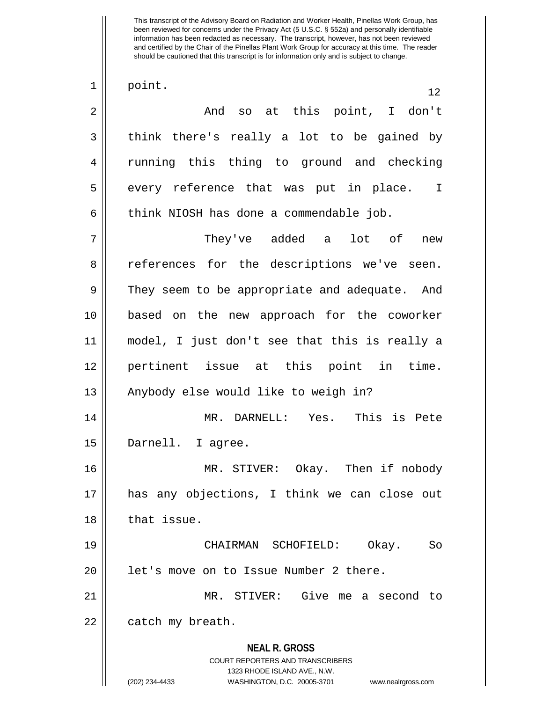**NEAL R. GROSS** COURT REPORTERS AND TRANSCRIBERS 1323 RHODE ISLAND AVE., N.W. (202) 234-4433 WASHINGTON, D.C. 20005-3701 www.nealrgross.com  $\begin{array}{|c|c|c|c|c|}\n1 & \text{point.} & \text{12}\n\end{array}$ 2 And so at this point, I don't  $3 \parallel$  think there's really a lot to be gained by 4 || running this thing to ground and checking 5 || every reference that was put in place. I  $6 \parallel$  think NIOSH has done a commendable job. 7 They've added a lot of new 8 || references for the descriptions we've seen. 9 They seem to be appropriate and adequate. And 10 based on the new approach for the coworker 11 model, I just don't see that this is really a 12 pertinent issue at this point in time. 13 || Anybody else would like to weigh in? 14 MR. DARNELL: Yes. This is Pete 15 Darnell. I agree. 16 MR. STIVER: Okay. Then if nobody 17 has any objections, I think we can close out 18 l that issue. 19 CHAIRMAN SCHOFIELD: Okay. So 20 | let's move on to Issue Number 2 there. 21 MR. STIVER: Give me a second to  $22$  | catch my breath.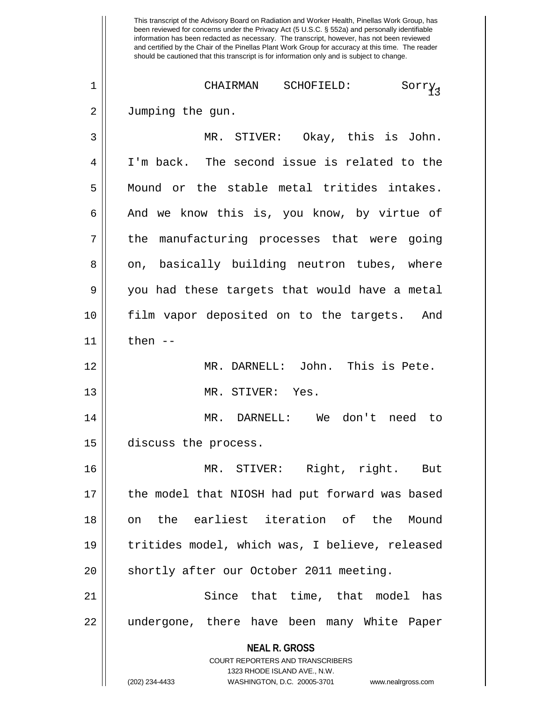This transcript of the Advisory Board on Radiation and Worker Health, Pinellas Work Group, has been reviewed for concerns under the Privacy Act (5 U.S.C. § 552a) and personally identifiable information has been redacted as necessary. The transcript, however, has not been reviewed and certified by the Chair of the Pinellas Plant Work Group for accuracy at this time. The reader should be cautioned that this transcript is for information only and is subject to change. <sup>13</sup> 1 CHAIRMAN SCHOFIELD: Sorry. 2 | Jumping the gun. 3 MR. STIVER: Okay, this is John. 4 || I'm back. The second issue is related to the 5 || Mound or the stable metal tritides intakes.  $6 \parallel$  And we know this is, you know, by virtue of  $7 \parallel$  the manufacturing processes that were going 8 on, basically building neutron tubes, where 9 you had these targets that would have a metal 10 film vapor deposited on to the targets. And  $11$  | then  $-$ 12 MR. DARNELL: John. This is Pete. 13 MR. STIVER: Yes. 14 MR. DARNELL: We don't need to 15 discuss the process. 16 MR. STIVER: Right, right. But 17 || the model that NIOSH had put forward was based 18 on the earliest iteration of the Mound 19 tritides model, which was, I believe, released 20 || shortly after our October 2011 meeting. 21 Since that time, that model has 22 || undergone, there have been many White Paper

**NEAL R. GROSS**

COURT REPORTERS AND TRANSCRIBERS 1323 RHODE ISLAND AVE., N.W.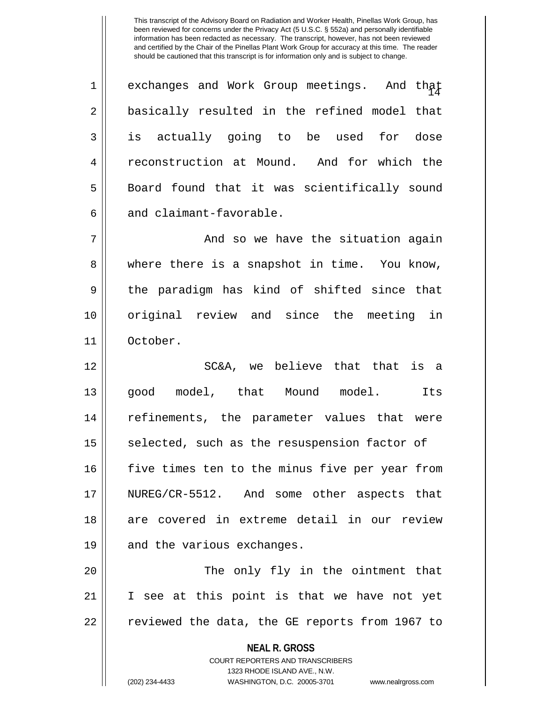$1$   $\parallel$  exchanges and Work Group meetings. And that 2 || basically resulted in the refined model that 3 is actually going to be used for dose 4 || reconstruction at Mound. And for which the 5 || Board found that it was scientifically sound 6 and claimant-favorable.

7 And so we have the situation again 8 where there is a snapshot in time. You know,  $9 \parallel$  the paradigm has kind of shifted since that 10 original review and since the meeting in 11 October.

12 SC&A, we believe that that is a 13 good model, that Mound model. Its 14 refinements, the parameter values that were  $15$  selected, such as the resuspension factor of 16 five times ten to the minus five per year from 17 NUREG/CR-5512. And some other aspects that 18 are covered in extreme detail in our review 19 || and the various exchanges.

20 The only fly in the ointment that 21 I see at this point is that we have not yet 22 || reviewed the data, the GE reports from 1967 to

> **NEAL R. GROSS** COURT REPORTERS AND TRANSCRIBERS 1323 RHODE ISLAND AVE., N.W. (202) 234-4433 WASHINGTON, D.C. 20005-3701 www.nealrgross.com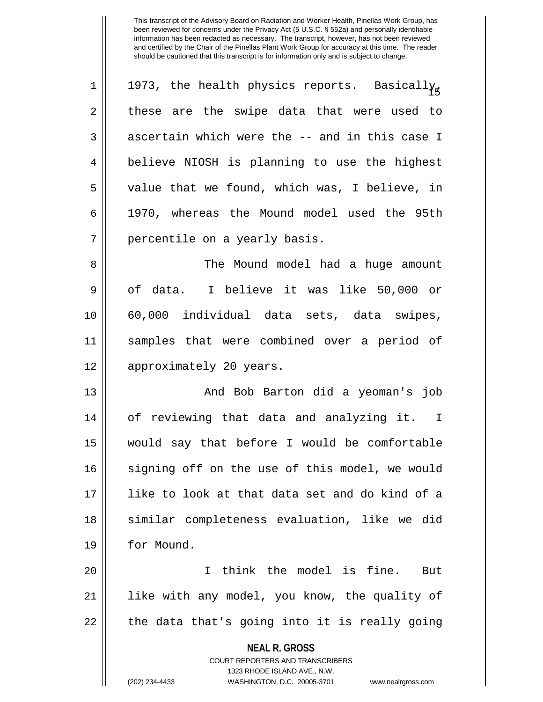| $\mathbf 1$    | 1973, the health physics reports. Basically,   |
|----------------|------------------------------------------------|
| $\overline{2}$ | these are the swipe data that were used to     |
| 3              | ascertain which were the -- and in this case I |
| 4              | believe NIOSH is planning to use the highest   |
| 5              | value that we found, which was, I believe, in  |
| 6              | 1970, whereas the Mound model used the 95th    |
| 7              | percentile on a yearly basis.                  |
| 8              | The Mound model had a huge amount              |
| 9              | of data. I believe it was like 50,000 or       |
| 10             | 60,000 individual data sets, data swipes,      |
|                |                                                |
| 11             | samples that were combined over a period of    |

13 And Bob Barton did a yeoman's job 14 of reviewing that data and analyzing it. I 15 would say that before I would be comfortable 16 || signing off on the use of this model, we would 17 like to look at that data set and do kind of a 18 || similar completeness evaluation, like we did 19 | for Mound.

20 I think the model is fine. But 21 || like with any model, you know, the quality of  $22 \parallel$  the data that's going into it is really going

> **NEAL R. GROSS** COURT REPORTERS AND TRANSCRIBERS 1323 RHODE ISLAND AVE., N.W. (202) 234-4433 WASHINGTON, D.C. 20005-3701 www.nealrgross.com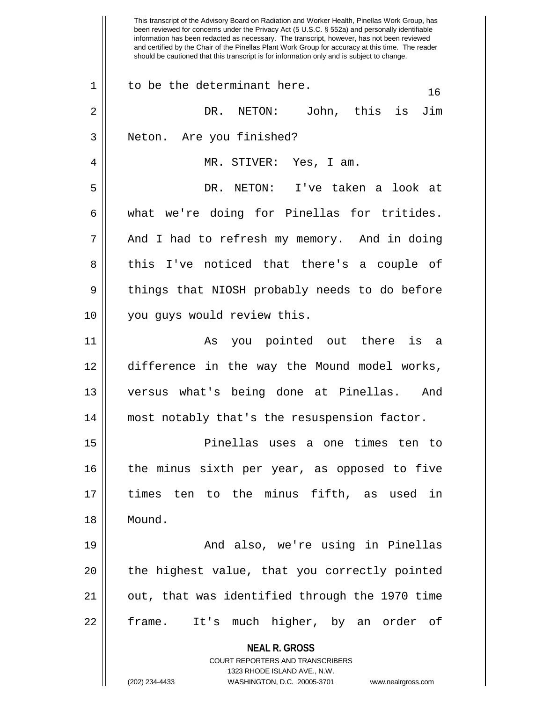**NEAL R. GROSS** COURT REPORTERS AND TRANSCRIBERS 1323 RHODE ISLAND AVE., N.W. (202) 234-4433 WASHINGTON, D.C. 20005-3701 www.nealrgross.com been reviewed for concerns under the Privacy Act (5 U.S.C. § 552a) and personally identifiable information has been redacted as necessary. The transcript, however, has not been reviewed and certified by the Chair of the Pinellas Plant Work Group for accuracy at this time. The reader should be cautioned that this transcript is for information only and is subject to change.  $1 \parallel$  to be the determinant here.  $16$ 2 DR. NETON: John, this is Jim 3 || Neton. Are you finished? 4 MR. STIVER: Yes, I am. 5 DR. NETON: I've taken a look at  $6 \parallel$  what we're doing for Pinellas for tritides. 7 || And I had to refresh my memory. And in doing 8 || this I've noticed that there's a couple of 9 || things that NIOSH probably needs to do before 10 || you guys would review this. 11 || As you pointed out there is a 12 difference in the way the Mound model works, 13 versus what's being done at Pinellas. And 14 most notably that's the resuspension factor. 15 Pinellas uses a one times ten to 16 || the minus sixth per year, as opposed to five 17 times ten to the minus fifth, as used in 18 Mound. 19 And also, we're using in Pinellas 20 || the highest value, that you correctly pointed 21 || out, that was identified through the 1970 time 22 || frame. It's much higher, by an order of

This transcript of the Advisory Board on Radiation and Worker Health, Pinellas Work Group, has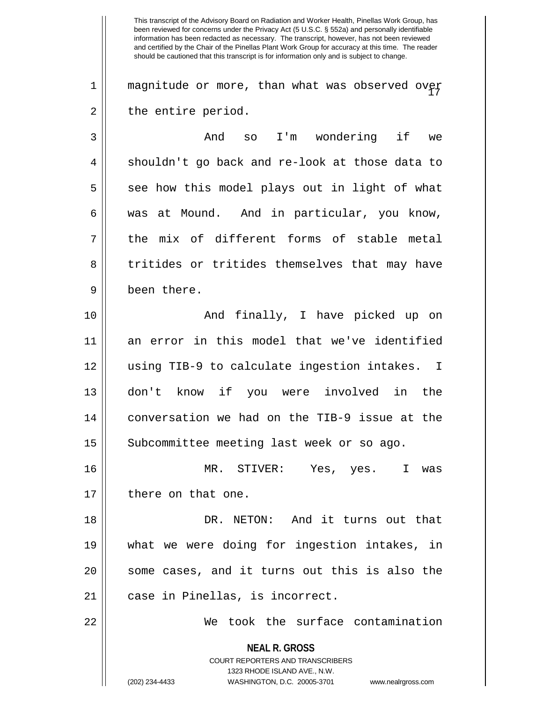1  $\parallel$  magnitude or more, than what was observed over  $2 \parallel$  the entire period.

3 And so I'm wondering if we 4 || shouldn't go back and re-look at those data to  $5 \parallel$  see how this model plays out in light of what 6 was at Mound. And in particular, you know,  $7 \parallel$  the mix of different forms of stable metal 8 || tritides or tritides themselves that may have 9 been there.

10 || The Contribution of the Marke Picked up on 11 an error in this model that we've identified 12 using TIB-9 to calculate ingestion intakes. I 13 don't know if you were involved in the 14 conversation we had on the TIB-9 issue at the 15 | Subcommittee meeting last week or so ago.

16 MR. STIVER: Yes, yes. I was 17 || there on that one.

18 DR. NETON: And it turns out that 19 what we were doing for ingestion intakes, in 20 || some cases, and it turns out this is also the 21 || case in Pinellas, is incorrect.

22 We took the surface contamination

**NEAL R. GROSS** COURT REPORTERS AND TRANSCRIBERS 1323 RHODE ISLAND AVE., N.W. (202) 234-4433 WASHINGTON, D.C. 20005-3701 www.nealrgross.com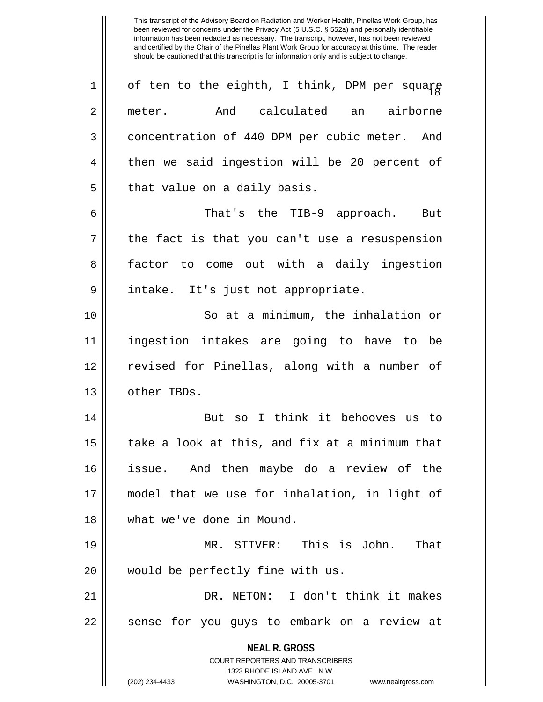**NEAL R. GROSS** COURT REPORTERS AND TRANSCRIBERS 1323 RHODE ISLAND AVE., N.W. (202) 234-4433 WASHINGTON, D.C. 20005-3701 www.nealrgross.com  $1$  of ten to the eighth, I think, DPM per square 2 meter. And calculated an airborne 3 | concentration of 440 DPM per cubic meter. And 4 || then we said ingestion will be 20 percent of  $5$  || that value on a daily basis. 6 That's the TIB-9 approach. But  $7 \parallel$  the fact is that you can't use a resuspension 8 factor to come out with a daily ingestion 9 || intake. It's just not appropriate. 10 || So at a minimum, the inhalation or 11 ingestion intakes are going to have to be 12 || revised for Pinellas, along with a number of 13 | other TBDs. 14 || But so I think it behooves us to  $15$  | take a look at this, and fix at a minimum that 16 issue. And then maybe do a review of the 17 model that we use for inhalation, in light of 18 what we've done in Mound. 19 MR. STIVER: This is John. That 20 || would be perfectly fine with us. 21 DR. NETON: I don't think it makes 22 || sense for you guys to embark on a review at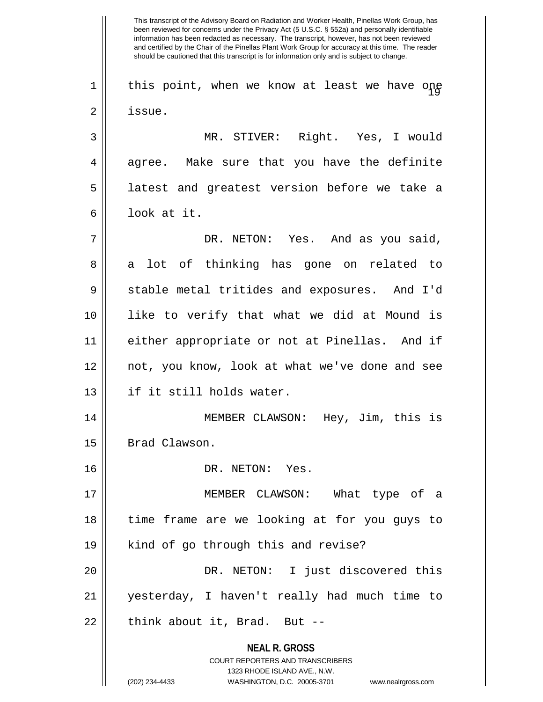**NEAL R. GROSS** COURT REPORTERS AND TRANSCRIBERS 1323 RHODE ISLAND AVE., N.W. This transcript of the Advisory Board on Radiation and Worker Health, Pinellas Work Group, has been reviewed for concerns under the Privacy Act (5 U.S.C. § 552a) and personally identifiable information has been redacted as necessary. The transcript, however, has not been reviewed and certified by the Chair of the Pinellas Plant Work Group for accuracy at this time. The reader should be cautioned that this transcript is for information only and is subject to change.  $1$   $\parallel$  this point, when we know at least we have one 2 | issue. 3 || MR. STIVER: Right. Yes, I would  $4 \parallel$  agree. Make sure that you have the definite 5 || latest and greatest version before we take a 6 look at it. 7 DR. NETON: Yes. And as you said, 8 a lot of thinking has gone on related to 9 Stable metal tritides and exposures. And I'd 10 like to verify that what we did at Mound is 11 either appropriate or not at Pinellas. And if 12 not, you know, look at what we've done and see 13 if it still holds water. 14 MEMBER CLAWSON: Hey, Jim, this is 15 | Brad Clawson. 16 DR. NETON: Yes. 17 MEMBER CLAWSON: What type of a 18 time frame are we looking at for you guys to 19 || kind of go through this and revise? 20 DR. NETON: I just discovered this 21 yesterday, I haven't really had much time to  $22$  || think about it, Brad. But  $-$ 

<sup>(202) 234-4433</sup> WASHINGTON, D.C. 20005-3701 www.nealrgross.com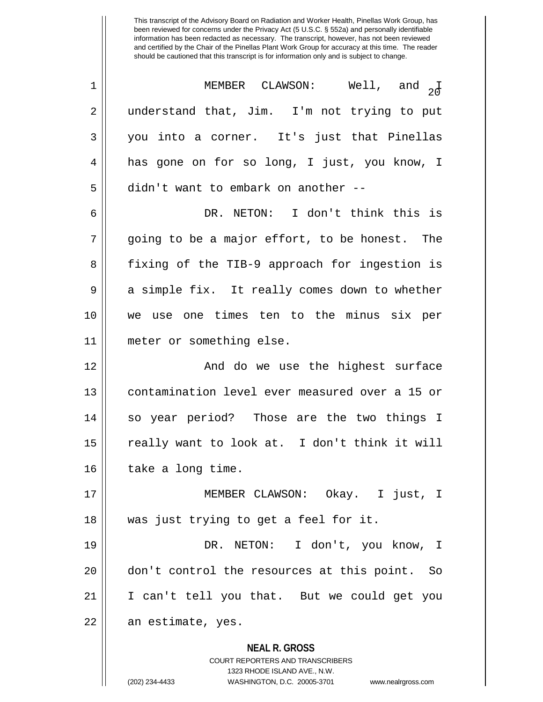$\left\lfloor \frac{1}{2} \right\rfloor$  MEMBER CLAWSON: Well, and  $\left\lfloor \frac{1}{2} \right\rfloor$ 2 || understand that, Jim. I'm not trying to put 3 you into a corner. It's just that Pinellas 4 has gone on for so long, I just, you know, I 5 | didn't want to embark on another --6 DR. NETON: I don't think this is  $7 \parallel$  going to be a major effort, to be honest. The 8 || fixing of the TIB-9 approach for ingestion is 9 a simple fix. It really comes down to whether 10 we use one times ten to the minus six per 11 meter or something else. 12 And do we use the highest surface 13 contamination level ever measured over a 15 or 14 so year period? Those are the two things I 15 || really want to look at. I don't think it will 16 | take a long time. 17 MEMBER CLAWSON: Okay. I just, I 18 was just trying to get a feel for it. 19 DR. NETON: I don't, you know, I

20 don't control the resources at this point. So 21 I can't tell you that. But we could get you 22 || an estimate, yes.

> **NEAL R. GROSS** COURT REPORTERS AND TRANSCRIBERS 1323 RHODE ISLAND AVE., N.W. (202) 234-4433 WASHINGTON, D.C. 20005-3701 www.nealrgross.com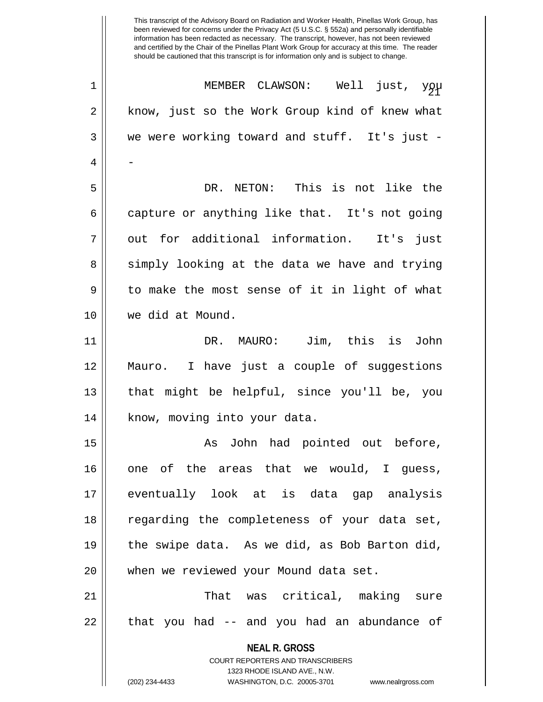| $1\,$ | MEMBER CLAWSON: Well just, you                                      |
|-------|---------------------------------------------------------------------|
| 2     | know, just so the Work Group kind of knew what                      |
| 3     | we were working toward and stuff. It's just -                       |
| 4     |                                                                     |
| 5     | DR. NETON: This is not like the                                     |
| 6     | capture or anything like that. It's not going                       |
| 7     | out for additional information. It's just                           |
| 8     | simply looking at the data we have and trying                       |
| 9     | to make the most sense of it in light of what                       |
| 10    | we did at Mound.                                                    |
| 11    | DR. MAURO: Jim, this is<br>John                                     |
| 12    | Mauro. I have just a couple of suggestions                          |
| 13    | that might be helpful, since you'll be, you                         |
| 14    | know, moving into your data.                                        |
| 15    | John had pointed out before,<br>As                                  |
| 16    | one of the areas that we would, I quess,                            |
| 17    | eventually look at is data gap analysis                             |
| 18    | regarding the completeness of your data set,                        |
| 19    | the swipe data. As we did, as Bob Barton did,                       |
| 20    | when we reviewed your Mound data set.                               |
| 21    | That was critical, making sure                                      |
| 22    | that you had -- and you had an abundance of                         |
|       | <b>NEAL R. GROSS</b><br>COURT REPORTERS AND TRANSCRIBERS            |
|       | 1323 RHODE ISLAND AVE., N.W.                                        |
|       | (202) 234-4433<br>WASHINGTON, D.C. 20005-3701<br>www.nealrgross.com |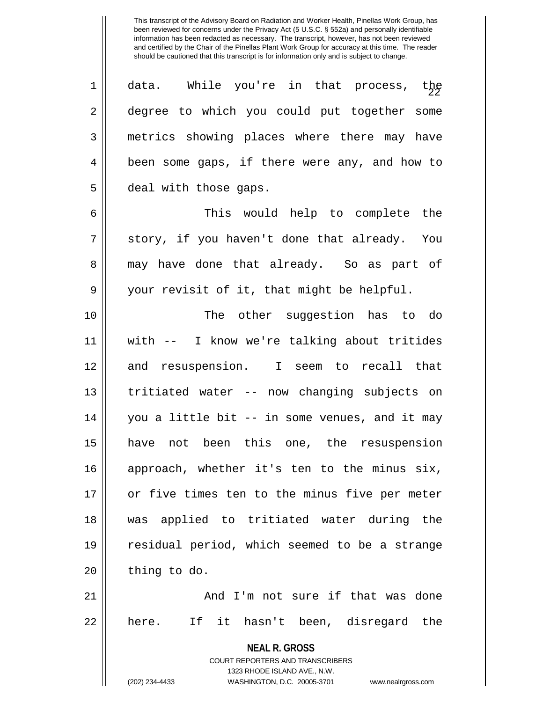$1 \parallel$  data. While you're in that process, the 2 || degree to which you could put together some 3 | metrics showing places where there may have 4 || been some gaps, if there were any, and how to 5 | deal with those gaps. 6 This would help to complete the  $7 ||$  story, if you haven't done that already. You 8 may have done that already. So as part of 9 your revisit of it, that might be helpful. 10 The other suggestion has to do 11 with -- I know we're talking about tritides 12 and resuspension. I seem to recall that 13 tritiated water -- now changing subjects on 14 you a little bit -- in some venues, and it may 15 have not been this one, the resuspension 16 approach, whether it's ten to the minus six, 17 or five times ten to the minus five per meter 18 was applied to tritiated water during the 19 residual period, which seemed to be a strange  $20$  | thing to do. 21 And I'm not sure if that was done  $22 \parallel$  here. If it hasn't been, disregard the

> **NEAL R. GROSS** COURT REPORTERS AND TRANSCRIBERS 1323 RHODE ISLAND AVE., N.W.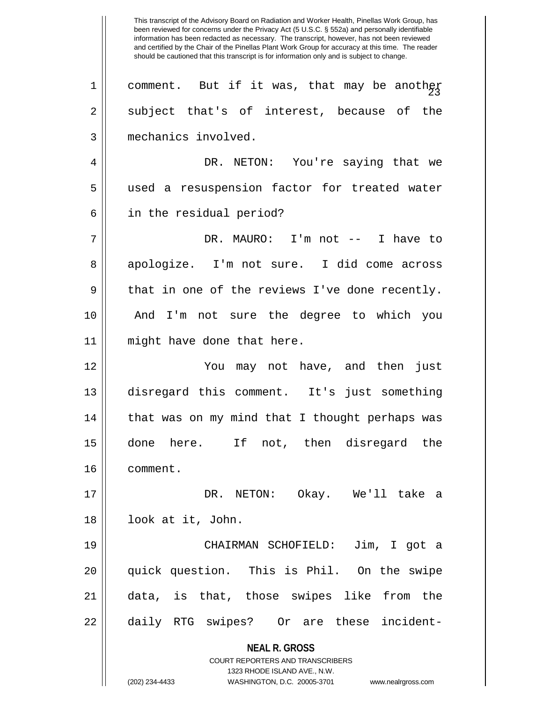**NEAL R. GROSS** COURT REPORTERS AND TRANSCRIBERS 1323 RHODE ISLAND AVE., N.W. (202) 234-4433 WASHINGTON, D.C. 20005-3701 www.nealrgross.com This transcript of the Advisory Board on Radiation and Worker Health, Pinellas Work Group, has been reviewed for concerns under the Privacy Act (5 U.S.C. § 552a) and personally identifiable information has been redacted as necessary. The transcript, however, has not been reviewed and certified by the Chair of the Pinellas Plant Work Group for accuracy at this time. The reader should be cautioned that this transcript is for information only and is subject to change. 1 || comment. But if it was, that may be anoth $\frac{1}{5}$  $2 \parallel$  subject that's of interest, because of the 3 mechanics involved. 4 DR. NETON: You're saying that we 5 || used a resuspension factor for treated water 6 || in the residual period? 7 DR. MAURO: I'm not -- I have to 8 apologize. I'm not sure. I did come across  $9 \parallel$  that in one of the reviews I've done recently. 10 And I'm not sure the degree to which you 11 might have done that here. 12 You may not have, and then just 13 disregard this comment. It's just something 14 || that was on my mind that I thought perhaps was 15 done here. If not, then disregard the 16 comment. 17 DR. NETON: Okay. We'll take a 18 look at it, John. 19 CHAIRMAN SCHOFIELD: Jim, I got a 20 quick question. This is Phil. On the swipe 21 data, is that, those swipes like from the 22 || daily RTG swipes? Or are these incident-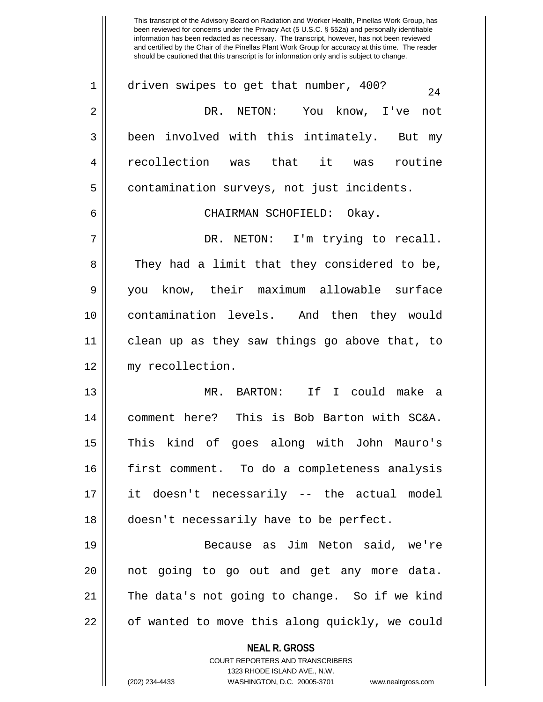1 | driven swipes to get that number, 400?  $24$ 2 DR. NETON: You know, I've not  $3 \parallel$  been involved with this intimately. But my 4 recollection was that it was routine 5 | contamination surveys, not just incidents. 6 CHAIRMAN SCHOFIELD: Okay. 7 DR. NETON: I'm trying to recall. 8 They had a limit that they considered to be, 9 you know, their maximum allowable surface 10 contamination levels. And then they would 11 clean up as they saw things go above that, to 12 my recollection. 13 MR. BARTON: If I could make a 14 comment here? This is Bob Barton with SC&A. 15 This kind of goes along with John Mauro's 16 first comment. To do a completeness analysis 17 it doesn't necessarily -- the actual model 18 || doesn't necessarily have to be perfect. 19 Because as Jim Neton said, we're 20 not going to go out and get any more data. 21 The data's not going to change. So if we kind

22 | of wanted to move this along quickly, we could

**NEAL R. GROSS** COURT REPORTERS AND TRANSCRIBERS

1323 RHODE ISLAND AVE., N.W. (202) 234-4433 WASHINGTON, D.C. 20005-3701 www.nealrgross.com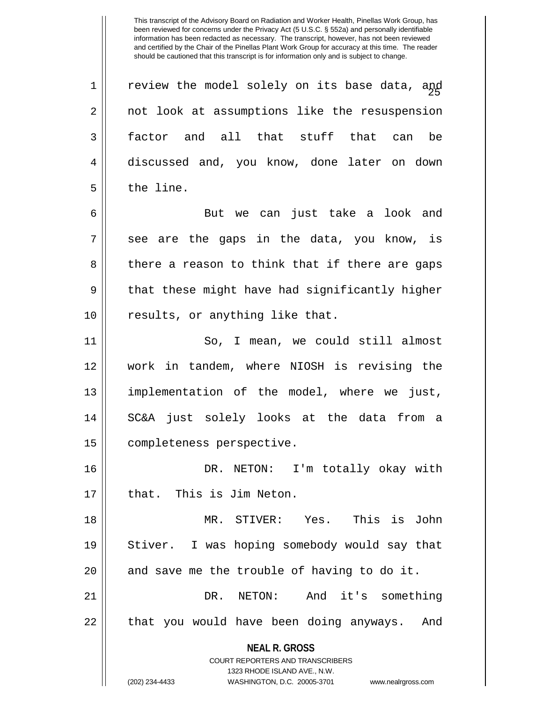$1$   $\parallel$  review the model solely on its base data, and 2 || not look at assumptions like the resuspension 3 factor and all that stuff that can be 4 discussed and, you know, done later on down 5 l the line.

6 But we can just take a look and  $7 \parallel$  see are the gaps in the data, you know, is 8 || there a reason to think that if there are gaps  $9 \parallel$  that these might have had significantly higher 10 || results, or anything like that.

11 || So, I mean, we could still almost 12 work in tandem, where NIOSH is revising the 13 implementation of the model, where we just, 14 SC&A just solely looks at the data from a 15 | completeness perspective.

16 DR. NETON: I'm totally okay with 17 || that. This is Jim Neton.

18 MR. STIVER: Yes. This is John 19 || Stiver. I was hoping somebody would say that 20  $\parallel$  and save me the trouble of having to do it. 21 || DR. NETON: And it's something

22 || that you would have been doing anyways. And

**NEAL R. GROSS** COURT REPORTERS AND TRANSCRIBERS

1323 RHODE ISLAND AVE., N.W.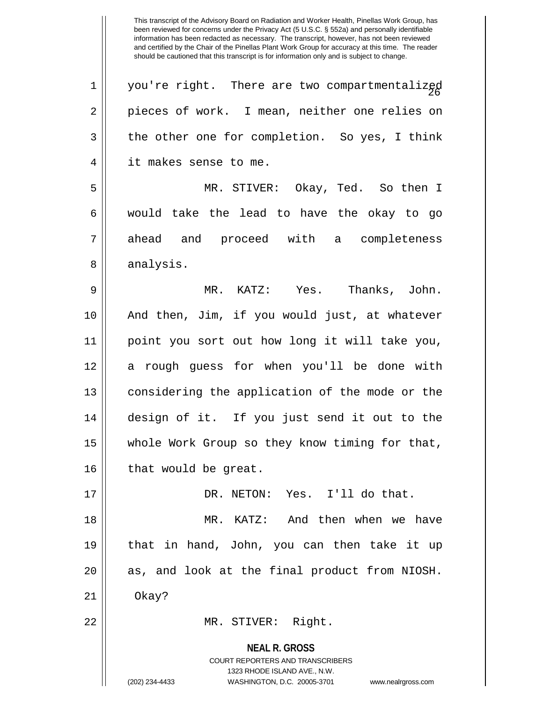**NEAL R. GROSS** COURT REPORTERS AND TRANSCRIBERS 1323 RHODE ISLAND AVE., N.W.  $1 \parallel$  you're right. There are two compartmentalized 2 || pieces of work. I mean, neither one relies on  $3 \parallel$  the other one for completion. So yes, I think 4 || it makes sense to me. 5 MR. STIVER: Okay, Ted. So then I  $6 \parallel$  would take the lead to have the okay to go 7 ahead and proceed with a completeness 8 | analysis. 9 MR. KATZ: Yes. Thanks, John. 10 And then, Jim, if you would just, at whatever 11 point you sort out how long it will take you, 12 a rough guess for when you'll be done with 13 || considering the application of the mode or the 14 design of it. If you just send it out to the 15 || whole Work Group so they know timing for that,  $16$  | that would be great. 17 DR. NETON: Yes. I'll do that. 18 MR. KATZ: And then when we have 19 that in hand, John, you can then take it up  $20$  || as, and look at the final product from NIOSH. 21 Okay? 22 || MR. STIVER: Right.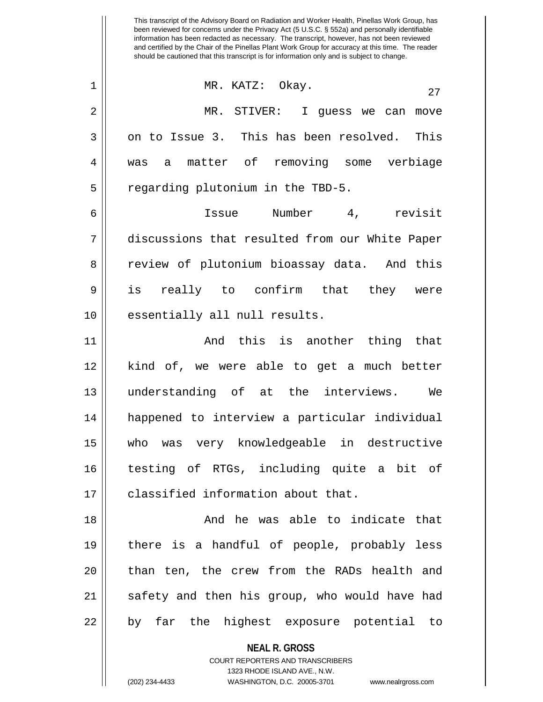**NEAL R. GROSS** COURT REPORTERS AND TRANSCRIBERS been reviewed for concerns under the Privacy Act (5 U.S.C. § 552a) and personally identifiable information has been redacted as necessary. The transcript, however, has not been reviewed and certified by the Chair of the Pinellas Plant Work Group for accuracy at this time. The reader should be cautioned that this transcript is for information only and is subject to change. <sup>27</sup> 1 MR. KATZ: Okay. 2 MR. STIVER: I guess we can move  $3 \parallel$  on to Issue 3. This has been resolved. This 4 was a matter of removing some verbiage 5 | regarding plutonium in the TBD-5. 6 Issue Number 4, revisit 7 discussions that resulted from our White Paper 8 Teview of plutonium bioassay data. And this 9 is really to confirm that they were 10 || essentially all null results. 11 And this is another thing that 12 kind of, we were able to get a much better 13 understanding of at the interviews. We 14 happened to interview a particular individual 15 who was very knowledgeable in destructive 16 testing of RTGs, including quite a bit of 17 declassified information about that. 18 And he was able to indicate that 19 there is a handful of people, probably less 20 || than ten, the crew from the RADs health and 21 || safety and then his group, who would have had 22 || by far the highest exposure potential to

This transcript of the Advisory Board on Radiation and Worker Health, Pinellas Work Group, has

1323 RHODE ISLAND AVE., N.W.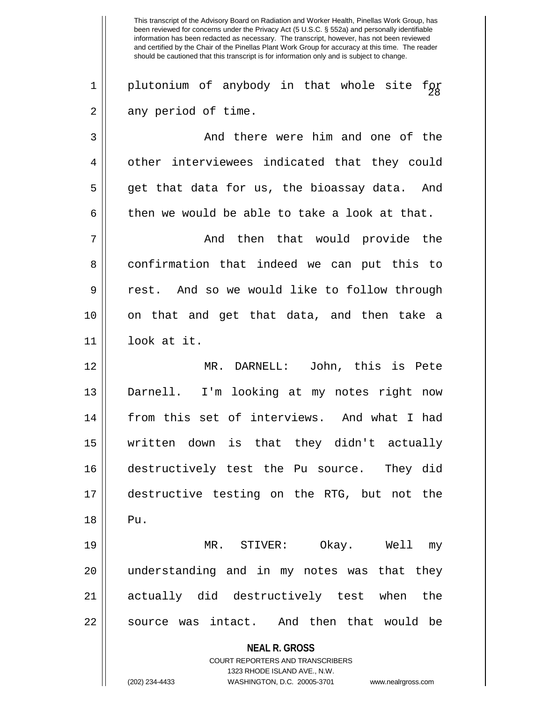**NEAL R. GROSS** COURT REPORTERS AND TRANSCRIBERS 1323 RHODE ISLAND AVE., N.W. This transcript of the Advisory Board on Radiation and Worker Health, Pinellas Work Group, has been reviewed for concerns under the Privacy Act (5 U.S.C. § 552a) and personally identifiable information has been redacted as necessary. The transcript, however, has not been reviewed and certified by the Chair of the Pinellas Plant Work Group for accuracy at this time. The reader should be cautioned that this transcript is for information only and is subject to change.  $1 \parallel$  plutonium of anybody in that whole site for  $2 \parallel$  any period of time. 3 And there were him and one of the 4 | other interviewees indicated that they could 5 get that data for us, the bioassay data. And 6 then we would be able to take a look at that. 7 And then that would provide the 8 confirmation that indeed we can put this to 9 rest. And so we would like to follow through 10 || on that and get that data, and then take a 11 look at it. 12 MR. DARNELL: John, this is Pete 13 Darnell. I'm looking at my notes right now 14 from this set of interviews. And what I had 15 written down is that they didn't actually 16 destructively test the Pu source. They did 17 destructive testing on the RTG, but not the 18 Pu. 19 MR. STIVER: Okay. Well my 20 understanding and in my notes was that they 21 actually did destructively test when the 22 || source was intact. And then that would be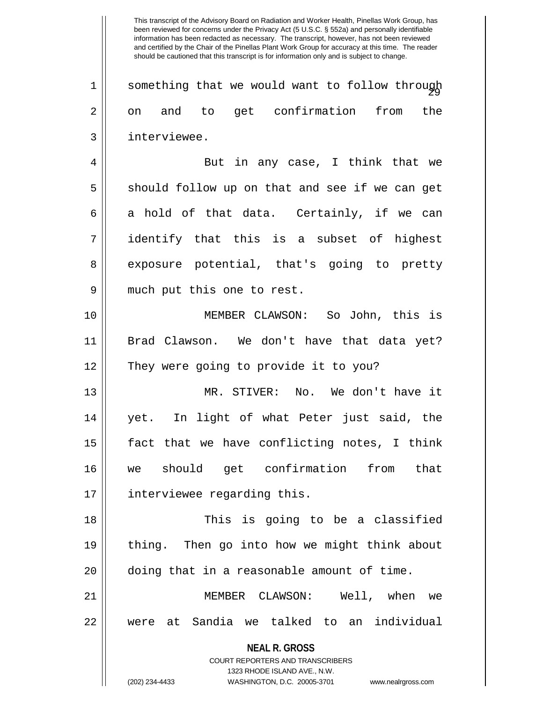$1$   $\parallel$  something that we would want to follow through 2 on and to get confirmation from the 3 | interviewee.

4 || But in any case, I think that we  $5 \parallel$  should follow up on that and see if we can get 6 a hold of that data. Certainly, if we can 7 identify that this is a subset of highest 8 exposure potential, that's going to pretty 9 || much put this one to rest.

10 MEMBER CLAWSON: So John, this is 11 Brad Clawson. We don't have that data yet? 12 || They were going to provide it to you?

13 MR. STIVER: No. We don't have it 14 yet. In light of what Peter just said, the  $15$  || fact that we have conflicting notes, I think 16 we should get confirmation from that 17 || interviewee regarding this.

18 This is going to be a classified 19 thing. Then go into how we might think about 20 doing that in a reasonable amount of time.

21 MEMBER CLAWSON: Well, when we 22 were at Sandia we talked to an individual

**NEAL R. GROSS**

COURT REPORTERS AND TRANSCRIBERS 1323 RHODE ISLAND AVE., N.W. (202) 234-4433 WASHINGTON, D.C. 20005-3701 www.nealrgross.com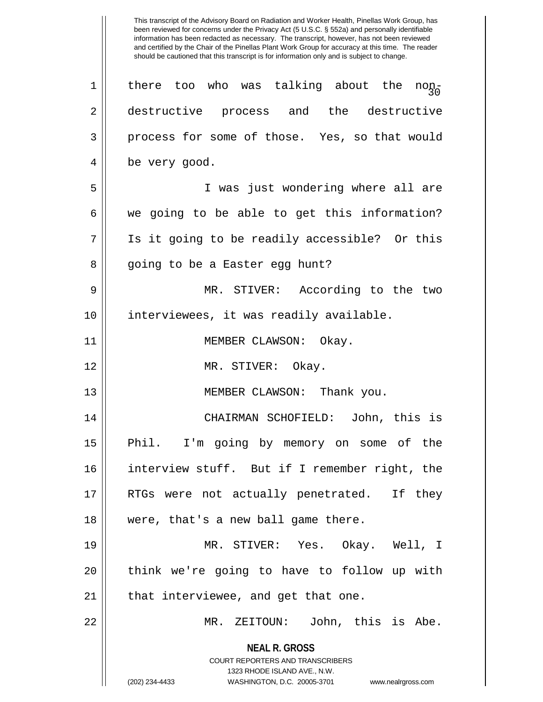**NEAL R. GROSS** COURT REPORTERS AND TRANSCRIBERS 1323 RHODE ISLAND AVE., N.W. (202) 234-4433 WASHINGTON, D.C. 20005-3701 www.nealrgross.com  $\begin{array}{c} 1 \parallel 1 \parallel 1 \end{array}$  there too who was talking about the non-2 destructive process and the destructive 3 process for some of those. Yes, so that would 4 | be very good. 5 I was just wondering where all are  $6 \parallel$  we going to be able to get this information? 7 Is it going to be readily accessible? Or this 8 || going to be a Easter egg hunt? 9 MR. STIVER: According to the two 10 interviewees, it was readily available. 11 || MEMBER CLAWSON: Okay. 12 MR. STIVER: Okay. 13 || MEMBER CLAWSON: Thank you. 14 CHAIRMAN SCHOFIELD: John, this is 15 || Phil. I'm going by memory on some of the 16 interview stuff. But if I remember right, the 17 || RTGs were not actually penetrated. If they 18 || were, that's a new ball game there. 19 MR. STIVER: Yes. Okay. Well, I 20 || think we're going to have to follow up with  $21$  | that interviewee, and get that one. 22 MR. ZEITOUN: John, this is Abe.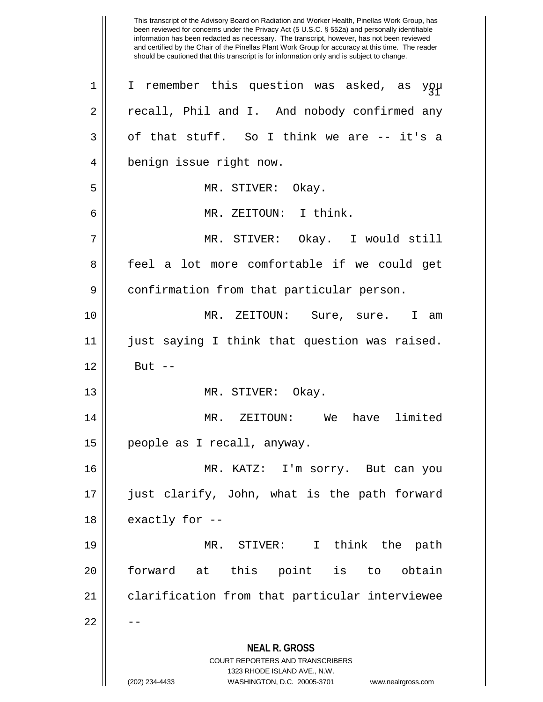4 || benign issue right now.

5 MR. STIVER: Okay.

 $3 \parallel$  of that stuff. So I think we are  $-$  it's a

6 MR. ZEITOUN: I think.

7 MR. STIVER: Okay. I would still 8 || feel a lot more comfortable if we could get 9 confirmation from that particular person.

10 MR. ZEITOUN: Sure, sure. I am 11 || just saying I think that question was raised.  $12 \parallel$  But  $-$ 

13 || MR. STIVER: Okay.

14 MR. ZEITOUN: We have limited 15 people as I recall, anyway.

16 MR. KATZ: I'm sorry. But can you 17 just clarify, John, what is the path forward  $18$  || exactly for  $-$ 

19 MR. STIVER: I think the path 20 || forward at this point is to obtain 21 | clarification from that particular interviewee

 $22$ 

**NEAL R. GROSS** COURT REPORTERS AND TRANSCRIBERS

1323 RHODE ISLAND AVE., N.W.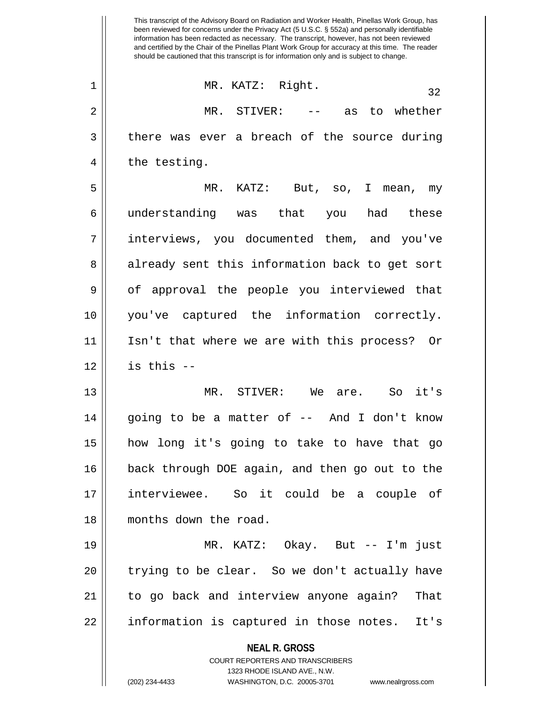1 MR. KATZ: Right. 32 2 MR. STIVER: -- as to whether  $3 \parallel$  there was ever a breach of the source during  $4 \parallel$  the testing.

5 MR. KATZ: But, so, I mean, my 6 understanding was that you had these 7 interviews, you documented them, and you've 8 already sent this information back to get sort 9 || of approval the people you interviewed that 10 you've captured the information correctly. 11 Isn't that where we are with this process? Or  $12$  | is this  $-$ 

13 MR. STIVER: We are. So it's 14 going to be a matter of -- And I don't know 15 how long it's going to take to have that go 16 back through DOE again, and then go out to the 17 interviewee. So it could be a couple of 18 months down the road.

19 MR. KATZ: Okay. But -- I'm just 20 || trying to be clear. So we don't actually have 21 to go back and interview anyone again? That 22 || information is captured in those notes. It's

**NEAL R. GROSS**

COURT REPORTERS AND TRANSCRIBERS 1323 RHODE ISLAND AVE., N.W. (202) 234-4433 WASHINGTON, D.C. 20005-3701 www.nealrgross.com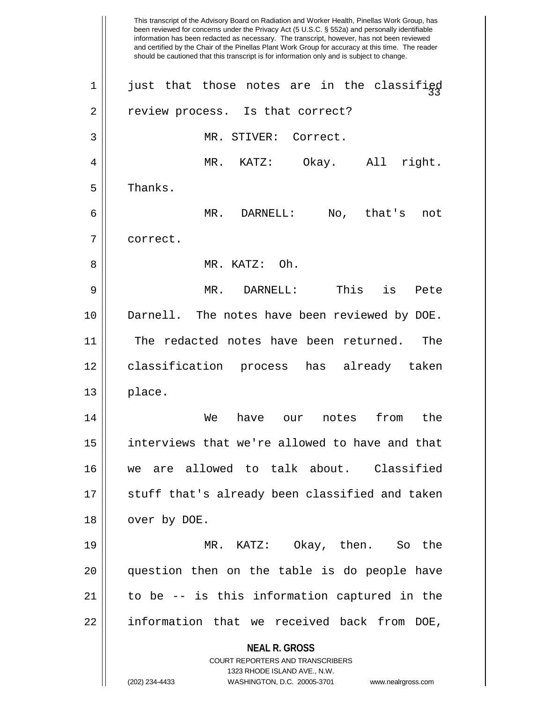**NEAL R. GROSS** COURT REPORTERS AND TRANSCRIBERS 1323 RHODE ISLAND AVE., N.W. (202) 234-4433 WASHINGTON, D.C. 20005-3701 www.nealrgross.com This transcript of the Advisory Board on Radiation and Worker Health, Pinellas Work Group, has been reviewed for concerns under the Privacy Act (5 U.S.C. § 552a) and personally identifiable information has been redacted as necessary. The transcript, however, has not been reviewed and certified by the Chair of the Pinellas Plant Work Group for accuracy at this time. The reader should be cautioned that this transcript is for information only and is subject to change. 1  $\parallel$  just that those notes are in the classified 2 || review process. Is that correct? 3 | MR. STIVER: Correct. 4 MR. KATZ: Okay. All right.  $5 \parallel$  Thanks. 6 MR. DARNELL: No, that's not 7 correct. 8 MR. KATZ: Oh. 9 MR. DARNELL: This is Pete 10 || Darnell. The notes have been reviewed by DOE. 11 || The redacted notes have been returned. The 12 classification process has already taken  $13 \parallel$  place. 14 We have our notes from the 15 interviews that we're allowed to have and that 16 we are allowed to talk about. Classified 17 || stuff that's already been classified and taken 18 | over by DOE. 19 MR. KATZ: Okay, then. So the 20 question then on the table is do people have 21 to be -- is this information captured in the 22 || information that we received back from DOE,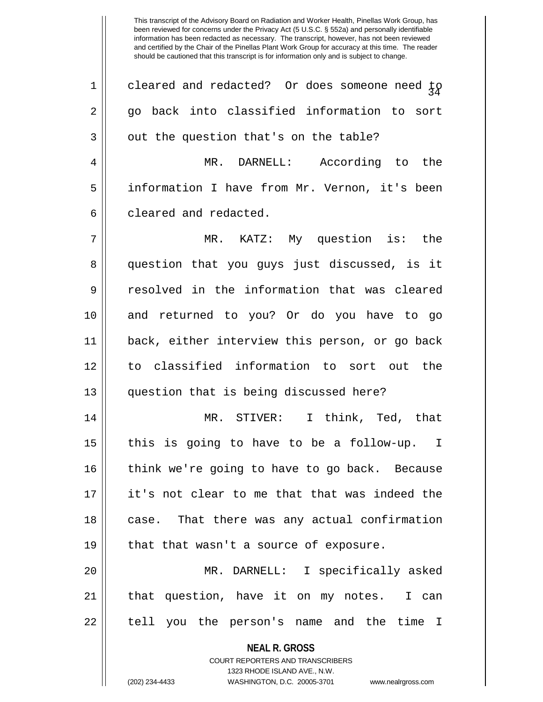| $\mathbf 1$ | cleared and redacted? Or does someone need $\frac{1}{2}$                                            |
|-------------|-----------------------------------------------------------------------------------------------------|
| 2           | go back into classified information to sort                                                         |
| 3           | out the question that's on the table?                                                               |
| 4           | MR. DARNELL: According to the                                                                       |
| 5           | information I have from Mr. Vernon, it's been                                                       |
| 6           | cleared and redacted.                                                                               |
| 7           | MR. KATZ: My question is: the                                                                       |
| 8           | question that you guys just discussed, is it                                                        |
| 9           | resolved in the information that was cleared                                                        |
| 10          | and returned to you? Or do you have to go                                                           |
| 11          | back, either interview this person, or go back                                                      |
| 12          | to classified information to sort out the                                                           |
| 13          | question that is being discussed here?                                                              |
| 14          | MR. STIVER: I think, Ted, that                                                                      |
| 15          | this is going to have to be a follow-up. I                                                          |
| 16          | think we're going to have to go back. Because                                                       |
| 17          | it's not clear to me that that was indeed the                                                       |
| 18          | case. That there was any actual confirmation                                                        |
| 19          | that that wasn't a source of exposure.                                                              |
| 20          | MR. DARNELL: I specifically asked                                                                   |
| 21          | that question, have it on my notes.<br>I can                                                        |
| 22          | tell you the person's name and the time I                                                           |
|             | <b>NEAL R. GROSS</b>                                                                                |
|             | <b>COURT REPORTERS AND TRANSCRIBERS</b>                                                             |
|             | 1323 RHODE ISLAND AVE., N.W.<br>(202) 234-4433<br>WASHINGTON, D.C. 20005-3701<br>www.nealrgross.com |
|             |                                                                                                     |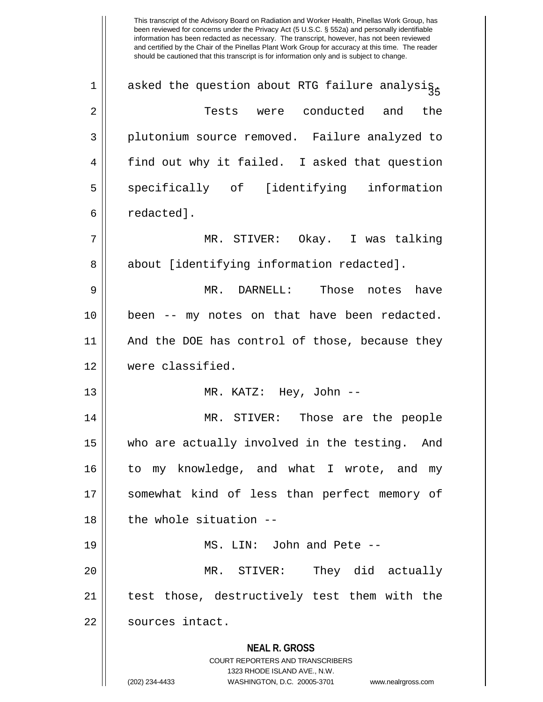**NEAL R. GROSS** COURT REPORTERS AND TRANSCRIBERS 1323 RHODE ISLAND AVE., N.W. This transcript of the Advisory Board on Radiation and Worker Health, Pinellas Work Group, has been reviewed for concerns under the Privacy Act (5 U.S.C. § 552a) and personally identifiable information has been redacted as necessary. The transcript, however, has not been reviewed and certified by the Chair of the Pinellas Plant Work Group for accuracy at this time. The reader should be cautioned that this transcript is for information only and is subject to change. 1  $\parallel$  asked the question about RTG failure analysis. 2 Tests were conducted and the 3 || plutonium source removed. Failure analyzed to 4 || find out why it failed. I asked that question 5 Som specifically of [identifying information 6 redacted]. 7 MR. STIVER: Okay. I was talking 8 || about [identifying information redacted]. 9 MR. DARNELL: Those notes have 10 been -- my notes on that have been redacted. 11 || And the DOE has control of those, because they 12 were classified. 13 MR. KATZ: Hey, John -- 14 MR. STIVER: Those are the people 15 || who are actually involved in the testing. And 16 to my knowledge, and what I wrote, and my 17 || somewhat kind of less than perfect memory of  $18$   $\parallel$  the whole situation --19 MS. LIN: John and Pete -- 20 MR. STIVER: They did actually 21 || test those, destructively test them with the 22 | sources intact.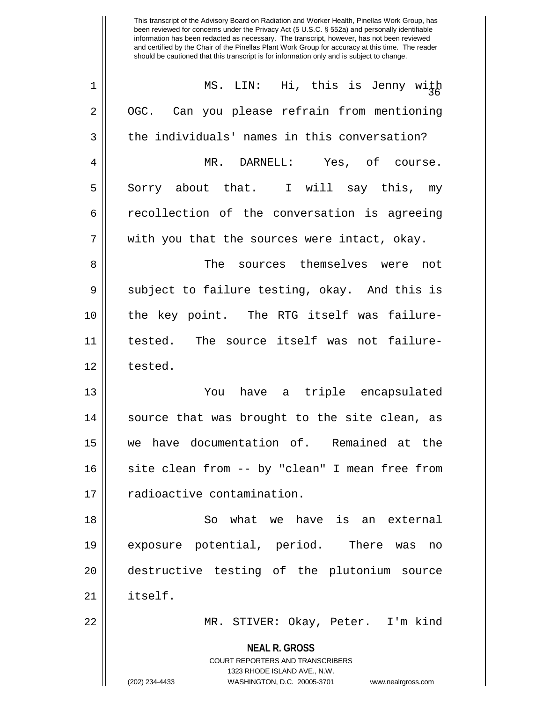| $\mathbf 1$    | MS. LIN: Hi, this is Jenny with                                                                                                                                        |
|----------------|------------------------------------------------------------------------------------------------------------------------------------------------------------------------|
| $\overline{2}$ | Can you please refrain from mentioning<br>OGC.                                                                                                                         |
| 3              | the individuals' names in this conversation?                                                                                                                           |
| 4              | MR. DARNELL: Yes, of course.                                                                                                                                           |
| 5              | Sorry about that. I will say this, my                                                                                                                                  |
| 6              | recollection of the conversation is agreeing                                                                                                                           |
| 7              | with you that the sources were intact, okay.                                                                                                                           |
| 8              | The sources themselves were not                                                                                                                                        |
| 9              | subject to failure testing, okay. And this is                                                                                                                          |
| 10             | the key point. The RTG itself was failure-                                                                                                                             |
| 11             | tested. The source itself was not failure-                                                                                                                             |
| 12             | tested.                                                                                                                                                                |
| 13             | You have a triple encapsulated                                                                                                                                         |
| 14             | source that was brought to the site clean, as                                                                                                                          |
| 15             | we have documentation of. Remained at the                                                                                                                              |
| 16             | site clean from -- by "clean" I mean free from                                                                                                                         |
| 17             | radioactive contamination.                                                                                                                                             |
| 18             | what we have is an external<br>So                                                                                                                                      |
| 19             | exposure potential, period. There was<br>no                                                                                                                            |
| 20             | destructive testing of the plutonium source                                                                                                                            |
| 21             | itself.                                                                                                                                                                |
| 22             | MR. STIVER: Okay, Peter. I'm kind                                                                                                                                      |
|                | <b>NEAL R. GROSS</b><br><b>COURT REPORTERS AND TRANSCRIBERS</b><br>1323 RHODE ISLAND AVE., N.W.<br>(202) 234-4433<br>WASHINGTON, D.C. 20005-3701<br>www.nealrgross.com |
|                |                                                                                                                                                                        |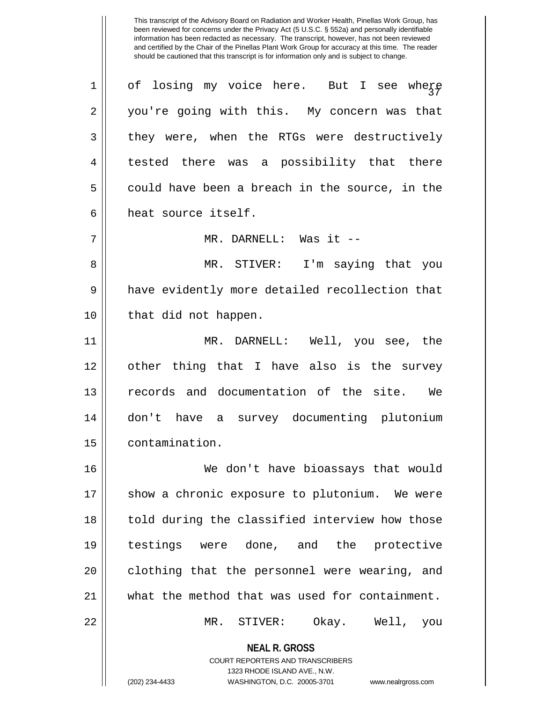1  $\parallel$  of losing my voice here. But I see where 2 you're going with this. My concern was that 3 they were, when the RTGs were destructively 4 || tested there was a possibility that there  $5 \parallel$  could have been a breach in the source, in the 6 heat source itself.

7 MR. DARNELL: Was it --

8 MR. STIVER: I'm saying that you 9 || have evidently more detailed recollection that 10 || that did not happen.

11 MR. DARNELL: Well, you see, the 12 other thing that I have also is the survey 13 records and documentation of the site. We 14 don't have a survey documenting plutonium 15 contamination.

16 We don't have bioassays that would 17 || show a chronic exposure to plutonium. We were 18 || told during the classified interview how those 19 testings were done, and the protective 20 || clothing that the personnel were wearing, and 21 what the method that was used for containment.

22 MR. STIVER: Okay. Well, you

**NEAL R. GROSS** COURT REPORTERS AND TRANSCRIBERS

1323 RHODE ISLAND AVE., N.W.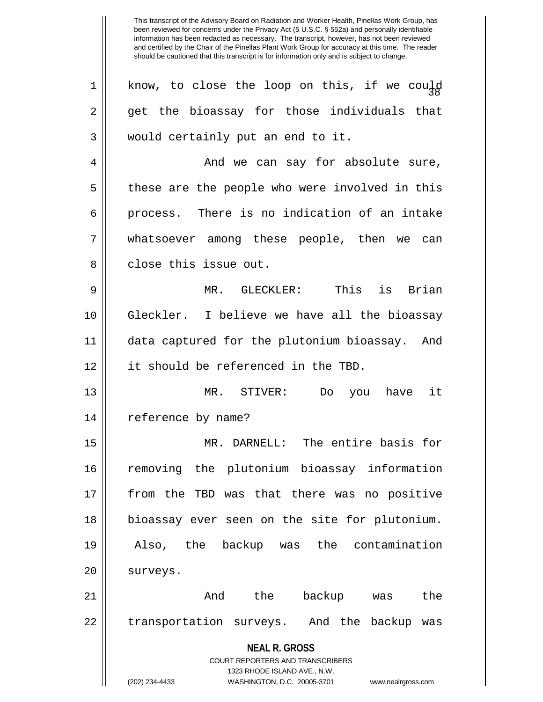**NEAL R. GROSS** COURT REPORTERS AND TRANSCRIBERS 1323 RHODE ISLAND AVE., N.W. (202) 234-4433 WASHINGTON, D.C. 20005-3701 www.nealrgross.com 1  $\parallel$  know, to close the loop on this, if we could 2 || get the bioassay for those individuals that 3 || would certainly put an end to it. 4 And we can say for absolute sure, 5 || these are the people who were involved in this 6 process. There is no indication of an intake 7 whatsoever among these people, then we can 8 decries issue out. 9 MR. GLECKLER: This is Brian 10 Gleckler. I believe we have all the bioassay 11 data captured for the plutonium bioassay. And 12 it should be referenced in the TBD. 13 MR. STIVER: Do you have it 14 || reference by name? 15 MR. DARNELL: The entire basis for 16 removing the plutonium bioassay information 17 from the TBD was that there was no positive 18 bioassay ever seen on the site for plutonium. 19 Also, the backup was the contamination 20 | surveys. 21 And the backup was the 22 || transportation surveys. And the backup was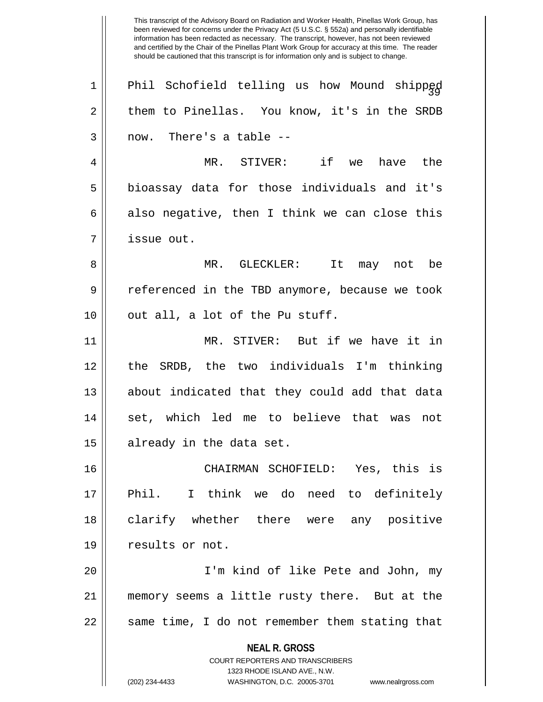**NEAL R. GROSS** COURT REPORTERS AND TRANSCRIBERS 1323 RHODE ISLAND AVE., N.W. (202) 234-4433 WASHINGTON, D.C. 20005-3701 www.nealrgross.com been reviewed for concerns under the Privacy Act (5 U.S.C. § 552a) and personally identifiable information has been redacted as necessary. The transcript, however, has not been reviewed and certified by the Chair of the Pinellas Plant Work Group for accuracy at this time. The reader should be cautioned that this transcript is for information only and is subject to change.  $1$  Phil Schofield telling us how Mound shipped 2 || them to Pinellas. You know, it's in the SRDB  $3 \parallel$  now. There's a table --4 MR. STIVER: if we have the  $5 \parallel$  bioassay data for those individuals and it's 6 also negative, then I think we can close this 7 issue out. 8 MR. GLECKLER: It may not be 9 || referenced in the TBD anymore, because we took  $10$  || out all, a lot of the Pu stuff. 11 MR. STIVER: But if we have it in 12 the SRDB, the two individuals I'm thinking 13 about indicated that they could add that data 14 || set, which led me to believe that was not 15 || already in the data set. 16 CHAIRMAN SCHOFIELD: Yes, this is 17 Phil. I think we do need to definitely 18 clarify whether there were any positive 19 || results or not. 20 I'm kind of like Pete and John, my 21 memory seems a little rusty there. But at the  $22$   $\parallel$  same time, I do not remember them stating that

This transcript of the Advisory Board on Radiation and Worker Health, Pinellas Work Group, has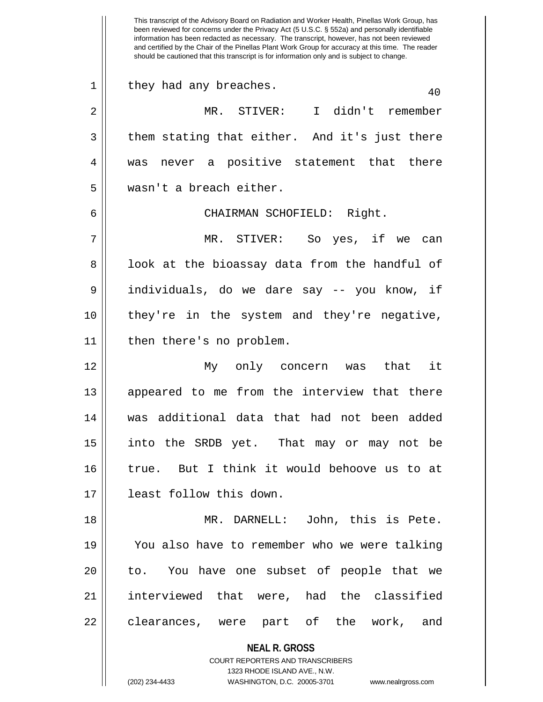**NEAL R. GROSS** COURT REPORTERS AND TRANSCRIBERS 1323 RHODE ISLAND AVE., N.W. (202) 234-4433 WASHINGTON, D.C. 20005-3701 www.nealrgross.com been reviewed for concerns under the Privacy Act (5 U.S.C. § 552a) and personally identifiable information has been redacted as necessary. The transcript, however, has not been reviewed and certified by the Chair of the Pinellas Plant Work Group for accuracy at this time. The reader should be cautioned that this transcript is for information only and is subject to change.  $1 \parallel$  they had any breaches.  $40$ 2 MR. STIVER: I didn't remember  $3 \parallel$  them stating that either. And it's just there 4 || was never a positive statement that there 5 wasn't a breach either. 6 CHAIRMAN SCHOFIELD: Right. 7 MR. STIVER: So yes, if we can 8 || look at the bioassay data from the handful of 9 individuals, do we dare say -- you know, if 10 they're in the system and they're negative, 11 || then there's no problem. 12 My only concern was that it 13 || appeared to me from the interview that there 14 was additional data that had not been added 15 into the SRDB yet. That may or may not be 16 true. But I think it would behoove us to at 17 least follow this down. 18 || MR. DARNELL: John, this is Pete. 19 You also have to remember who we were talking 20 || to. You have one subset of people that we 21 interviewed that were, had the classified 22 clearances, were part of the work, and

This transcript of the Advisory Board on Radiation and Worker Health, Pinellas Work Group, has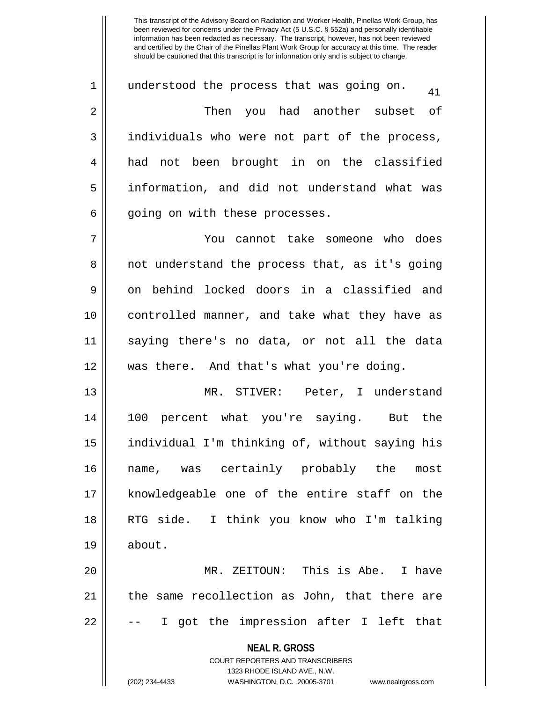$1 \parallel$  understood the process that was going on.  $\frac{41}{10}$ 2 Then you had another subset of 3 || individuals who were not part of the process, 4 had not been brought in on the classified 5 information, and did not understand what was  $6 \parallel$  going on with these processes.

7 You cannot take someone who does 8 || not understand the process that, as it's going 9 || on behind locked doors in a classified and 10 || controlled manner, and take what they have as 11 saying there's no data, or not all the data 12 was there. And that's what you're doing.

13 MR. STIVER: Peter, I understand 14 100 percent what you're saying. But the 15 individual I'm thinking of, without saying his 16 name, was certainly probably the most 17 || knowledgeable one of the entire staff on the 18 RTG side. I think you know who I'm talking  $19 \parallel$  about.

20 MR. ZEITOUN: This is Abe. I have 21 || the same recollection as John, that there are  $22 \parallel$  -- I got the impression after I left that

> **NEAL R. GROSS** COURT REPORTERS AND TRANSCRIBERS

> > 1323 RHODE ISLAND AVE., N.W.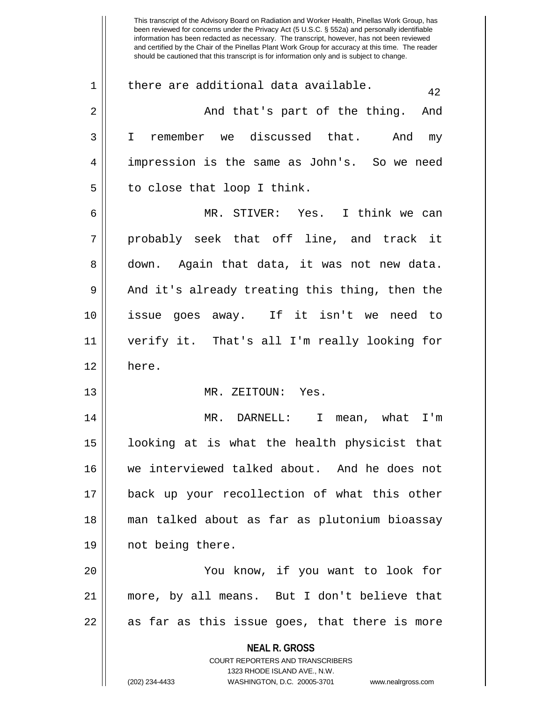**NEAL R. GROSS** COURT REPORTERS AND TRANSCRIBERS 1323 RHODE ISLAND AVE., N.W. (202) 234-4433 WASHINGTON, D.C. 20005-3701 www.nealrgross.com been reviewed for concerns under the Privacy Act (5 U.S.C. § 552a) and personally identifiable information has been redacted as necessary. The transcript, however, has not been reviewed and certified by the Chair of the Pinellas Plant Work Group for accuracy at this time. The reader should be cautioned that this transcript is for information only and is subject to change. 1 | there are additional data available.  $42$ 2 And that's part of the thing. And 3 I remember we discussed that. And my 4 impression is the same as John's. So we need  $5 \parallel$  to close that loop I think. 6 MR. STIVER: Yes. I think we can  $7 \parallel$  probably seek that off line, and track it 8 down. Again that data, it was not new data.  $9 \parallel$  And it's already treating this thing, then the 10 issue goes away. If it isn't we need to 11 verify it. That's all I'm really looking for 12 here. 13 || MR. ZEITOUN: Yes. 14 MR. DARNELL: I mean, what I'm 15 looking at is what the health physicist that 16 we interviewed talked about. And he does not 17 back up your recollection of what this other 18 man talked about as far as plutonium bioassay 19 || not being there. 20 You know, if you want to look for 21 more, by all means. But I don't believe that  $22 \parallel$  as far as this issue goes, that there is more

This transcript of the Advisory Board on Radiation and Worker Health, Pinellas Work Group, has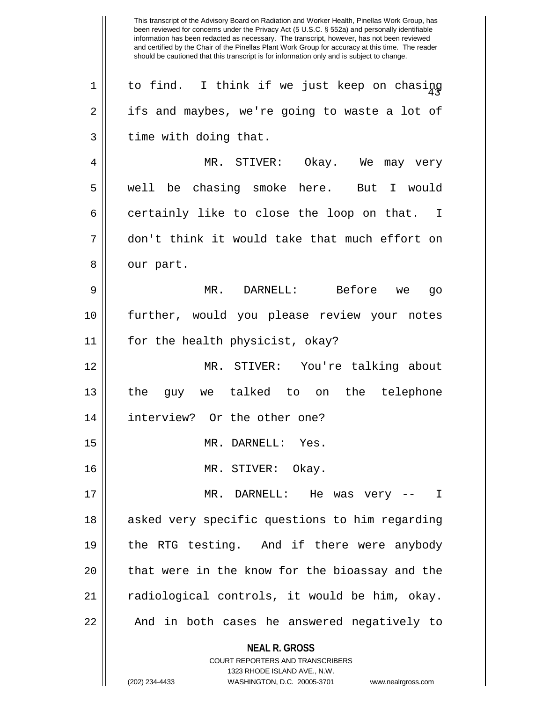**NEAL R. GROSS** COURT REPORTERS AND TRANSCRIBERS This transcript of the Advisory Board on Radiation and Worker Health, Pinellas Work Group, has been reviewed for concerns under the Privacy Act (5 U.S.C. § 552a) and personally identifiable information has been redacted as necessary. The transcript, however, has not been reviewed and certified by the Chair of the Pinellas Plant Work Group for accuracy at this time. The reader should be cautioned that this transcript is for information only and is subject to change.  $1 \parallel$  to find. I think if we just keep on chasing 2 | ifs and maybes, we're going to waste a lot of  $3 \parallel$  time with doing that. 4 MR. STIVER: Okay. We may very 5 well be chasing smoke here. But I would  $6 \parallel$  certainly like to close the loop on that. I 7 don't think it would take that much effort on  $8 \parallel$  our part. 9 MR. DARNELL: Before we go 10 further, would you please review your notes 11 for the health physicist, okay? 12 MR. STIVER: You're talking about 13 the guy we talked to on the telephone 14 interview? Or the other one? 15 || MR. DARNELL: Yes. 16 MR. STIVER: Okay. 17 MR. DARNELL: He was very -- I 18 || asked very specific questions to him regarding 19 || the RTG testing. And if there were anybody 20 || that were in the know for the bioassay and the 21 || radiological controls, it would be him, okay. 22 || And in both cases he answered negatively to

1323 RHODE ISLAND AVE., N.W.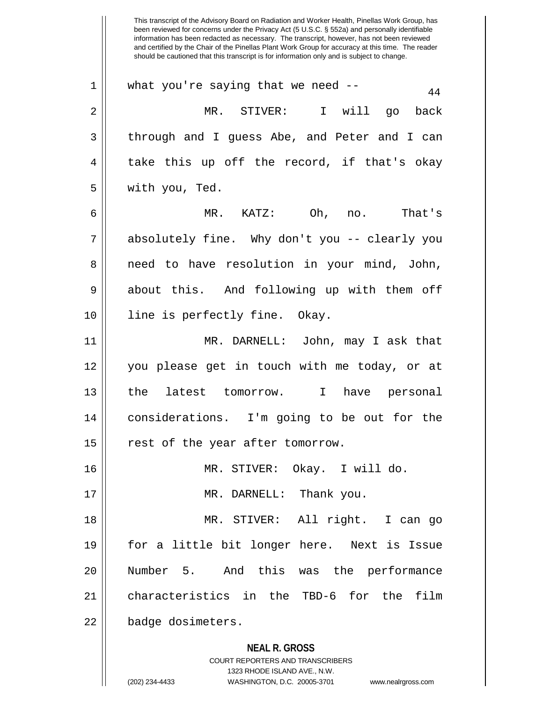**NEAL R. GROSS** COURT REPORTERS AND TRANSCRIBERS 1323 RHODE ISLAND AVE., N.W. (202) 234-4433 WASHINGTON, D.C. 20005-3701 www.nealrgross.com been reviewed for concerns under the Privacy Act (5 U.S.C. § 552a) and personally identifiable information has been redacted as necessary. The transcript, however, has not been reviewed and certified by the Chair of the Pinellas Plant Work Group for accuracy at this time. The reader should be cautioned that this transcript is for information only and is subject to change.  $1 \parallel$  what you're saying that we need --  $44$ 2 MR. STIVER: I will go back 3 through and I guess Abe, and Peter and I can  $4 \parallel$  take this up off the record, if that's okay 5 with you, Ted. 6 MR. KATZ: Oh, no. That's 7 absolutely fine. Why don't you -- clearly you 8 || need to have resolution in your mind, John, 9 about this. And following up with them off 10 || line is perfectly fine. Okay. 11 MR. DARNELL: John, may I ask that 12 you please get in touch with me today, or at 13 the latest tomorrow. I have personal 14 considerations. I'm going to be out for the 15 || rest of the year after tomorrow. 16 MR. STIVER: Okay. I will do. 17 || MR. DARNELL: Thank you. 18 MR. STIVER: All right. I can go 19 for a little bit longer here. Next is Issue 20 Number 5. And this was the performance 21 characteristics in the TBD-6 for the film 22 | badge dosimeters.

This transcript of the Advisory Board on Radiation and Worker Health, Pinellas Work Group, has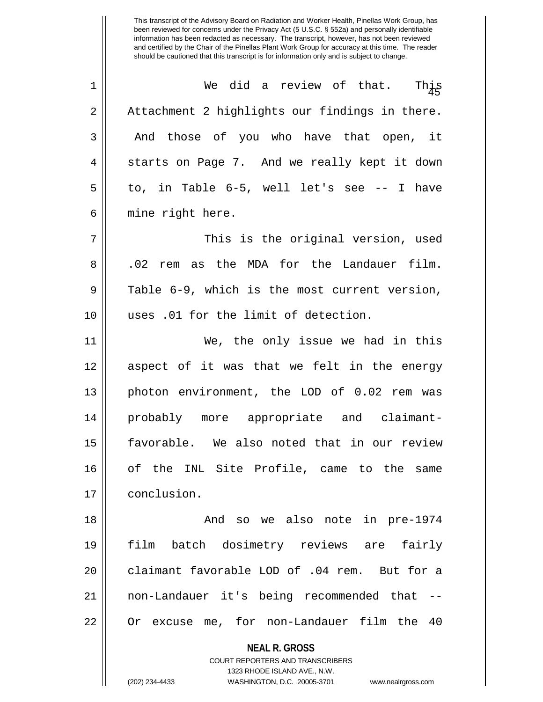| $\mathbf 1$ | We did a review of that.<br>This                         |
|-------------|----------------------------------------------------------|
| 2           | Attachment 2 highlights our findings in there.           |
| 3           | And those of you who have that open, it                  |
| 4           | starts on Page 7. And we really kept it down             |
| 5           | to, in Table 6-5, well let's see -- I have               |
| 6           | mine right here.                                         |
| 7           | This is the original version, used                       |
| 8           | .02 rem as the MDA for the Landauer film.                |
| $\mathsf 9$ | Table 6-9, which is the most current version,            |
| 10          | uses .01 for the limit of detection.                     |
| 11          | We, the only issue we had in this                        |
| 12          | aspect of it was that we felt in the energy              |
| 13          | photon environment, the LOD of 0.02 rem was              |
| 14          | probably more appropriate and claimant-                  |
| 15          | favorable. We also noted that in our review              |
| 16          | of the INL Site Profile, came to the same                |
| 17          | conclusion.                                              |
| 18          | And so we also note in pre-1974                          |
| 19          | batch dosimetry reviews are<br>fairly<br>film            |
| 20          | claimant favorable LOD of .04 rem. But for a             |
| 21          | non-Landauer it's being recommended that                 |
| 22          | Or excuse me, for non-Landauer film the 40               |
|             | <b>NEAL R. GROSS</b><br>COURT REPORTERS AND TRANSCRIBERS |

1323 RHODE ISLAND AVE., N.W.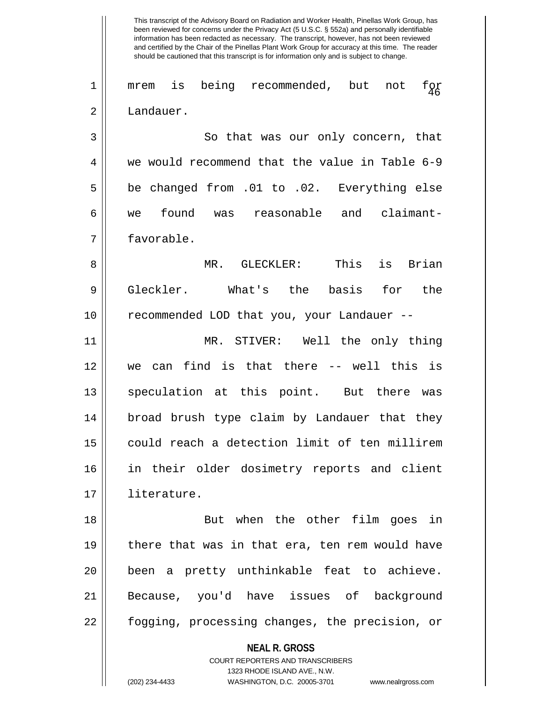**NEAL R. GROSS** been reviewed for concerns under the Privacy Act (5 U.S.C. § 552a) and personally identifiable information has been redacted as necessary. The transcript, however, has not been reviewed and certified by the Chair of the Pinellas Plant Work Group for accuracy at this time. The reader should be cautioned that this transcript is for information only and is subject to change.  $1 \parallel$  mrem is being recommended, but not f $\alpha$ 2 | Landauer. 3 || So that was our only concern, that 4 we would recommend that the value in Table 6-9 5 be changed from .01 to .02. Everything else 6 we found was reasonable and claimant-7 favorable. 8 MR. GLECKLER: This is Brian 9 Gleckler. What's the basis for the 10 || recommended LOD that you, your Landauer --11 MR. STIVER: Well the only thing 12 we can find is that there -- well this is 13 || speculation at this point. But there was 14 broad brush type claim by Landauer that they 15 could reach a detection limit of ten millirem 16 in their older dosimetry reports and client 17 literature. 18 || But when the other film goes in 19  $\parallel$  there that was in that era, ten rem would have 20 been a pretty unthinkable feat to achieve. 21 Because, you'd have issues of background 22 || fogging, processing changes, the precision, or

This transcript of the Advisory Board on Radiation and Worker Health, Pinellas Work Group, has

COURT REPORTERS AND TRANSCRIBERS 1323 RHODE ISLAND AVE., N.W.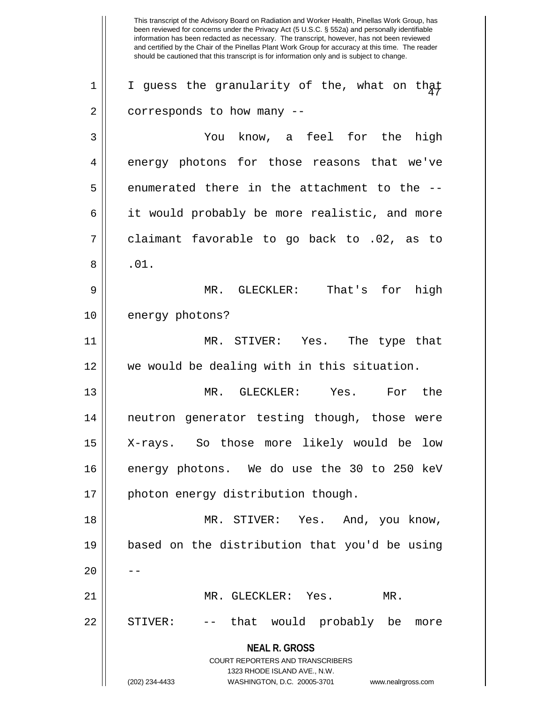**NEAL R. GROSS** COURT REPORTERS AND TRANSCRIBERS 1323 RHODE ISLAND AVE., N.W. (202) 234-4433 WASHINGTON, D.C. 20005-3701 www.nealrgross.com This transcript of the Advisory Board on Radiation and Worker Health, Pinellas Work Group, has been reviewed for concerns under the Privacy Act (5 U.S.C. § 552a) and personally identifiable information has been redacted as necessary. The transcript, however, has not been reviewed and certified by the Chair of the Pinellas Plant Work Group for accuracy at this time. The reader should be cautioned that this transcript is for information only and is subject to change.  $1$  | I guess the granularity of the, what on that  $2 \parallel$  corresponds to how many --3 You know, a feel for the high 4 energy photons for those reasons that we've  $5 \parallel$  enumerated there in the attachment to the  $-$ -6 || it would probably be more realistic, and more  $7 \parallel$  claimant favorable to go back to .02, as to  $8 \parallel$  .01. 9 MR. GLECKLER: That's for high 10 || energy photons? 11 MR. STIVER: Yes. The type that 12 we would be dealing with in this situation. 13 MR. GLECKLER: Yes. For the 14 neutron generator testing though, those were 15 X-rays. So those more likely would be low 16 energy photons. We do use the 30 to 250 keV 17 || photon energy distribution though. 18 MR. STIVER: Yes. And, you know, 19 based on the distribution that you'd be using  $20$ 21 MR. GLECKLER: Yes. MR. 22 || STIVER: -- that would probably be more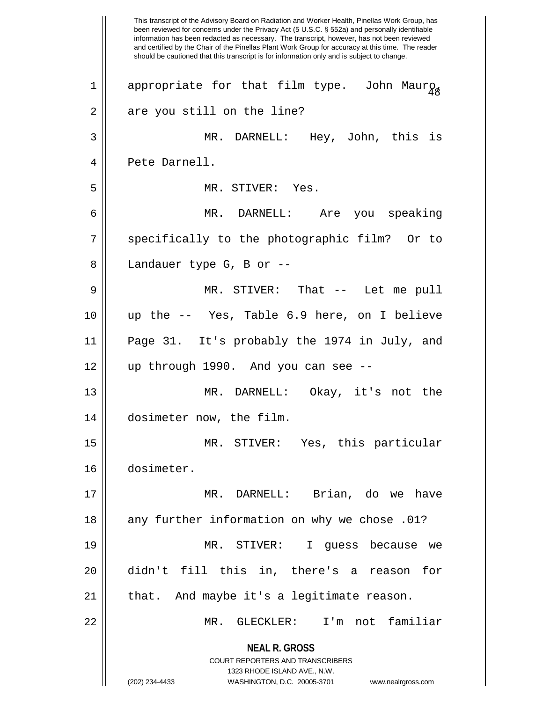**NEAL R. GROSS** COURT REPORTERS AND TRANSCRIBERS 1323 RHODE ISLAND AVE., N.W. (202) 234-4433 WASHINGTON, D.C. 20005-3701 www.nealrgross.com This transcript of the Advisory Board on Radiation and Worker Health, Pinellas Work Group, has been reviewed for concerns under the Privacy Act (5 U.S.C. § 552a) and personally identifiable information has been redacted as necessary. The transcript, however, has not been reviewed and certified by the Chair of the Pinellas Plant Work Group for accuracy at this time. The reader should be cautioned that this transcript is for information only and is subject to change. 1 appropriate for that film type. John Maur $_{98}$ 2 || are you still on the line? 3 MR. DARNELL: Hey, John, this is 4 || Pete Darnell. 5 || MR. STIVER: Yes. 6 MR. DARNELL: Are you speaking 7 || specifically to the photographic film? Or to 8 || Landauer type G, B or --9 MR. STIVER: That -- Let me pull 10 up the -- Yes, Table 6.9 here, on I believe 11 Page 31. It's probably the 1974 in July, and 12 up through 1990. And you can see -- 13 MR. DARNELL: Okay, it's not the 14 dosimeter now, the film. 15 MR. STIVER: Yes, this particular 16 dosimeter. 17 MR. DARNELL: Brian, do we have 18 || any further information on why we chose .01? 19 MR. STIVER: I guess because we 20 didn't fill this in, there's a reason for  $21$  | that. And maybe it's a legitimate reason. 22 MR. GLECKLER: I'm not familiar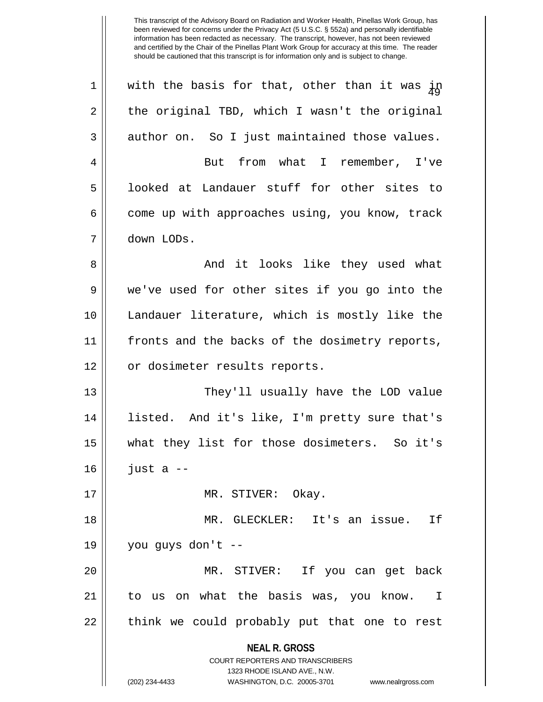**NEAL R. GROSS** COURT REPORTERS AND TRANSCRIBERS 1323 RHODE ISLAND AVE., N.W. (202) 234-4433 WASHINGTON, D.C. 20005-3701 www.nealrgross.com 1 || with the basis for that, other than it was  $\dot{\mu}$  $2 \parallel$  the original TBD, which I wasn't the original  $3 \parallel$  author on. So I just maintained those values. 4 || But from what I remember, I've 5 || looked at Landauer stuff for other sites to 6  $\parallel$  come up with approaches using, you know, track 7 down LODs. 8 And it looks like they used what 9 we've used for other sites if you go into the 10 Landauer literature, which is mostly like the 11 || fronts and the backs of the dosimetry reports, 12 || or dosimeter results reports. 13 They'll usually have the LOD value 14 listed. And it's like, I'm pretty sure that's 15 what they list for those dosimeters. So it's  $16$   $\parallel$  just a  $-$ 17 || MR. STIVER: Okay. 18 MR. GLECKLER: It's an issue. If 19 you guys don't -- 20 MR. STIVER: If you can get back 21 to us on what the basis was, you know. I 22 || think we could probably put that one to rest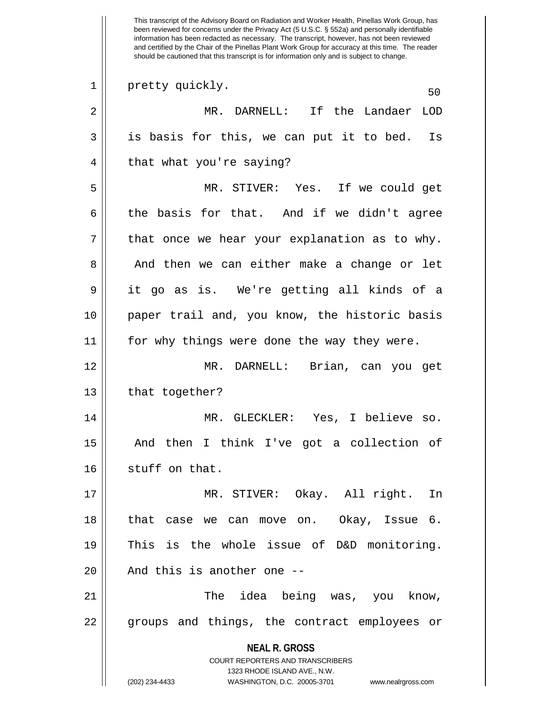**NEAL R. GROSS** COURT REPORTERS AND TRANSCRIBERS 1323 RHODE ISLAND AVE., N.W. (202) 234-4433 WASHINGTON, D.C. 20005-3701 www.nealrgross.com This transcript of the Advisory Board on Radiation and Worker Health, Pinellas Work Group, has been reviewed for concerns under the Privacy Act (5 U.S.C. § 552a) and personally identifiable information has been redacted as necessary. The transcript, however, has not been reviewed and certified by the Chair of the Pinellas Plant Work Group for accuracy at this time. The reader should be cautioned that this transcript is for information only and is subject to change. 1 pretty quickly. 50 2 MR. DARNELL: If the Landaer LOD  $3 \parallel$  is basis for this, we can put it to bed. Is 4 || that what you're saying? 5 MR. STIVER: Yes. If we could get  $6$  the basis for that. And if we didn't agree  $7$  | that once we hear your explanation as to why. 8 || And then we can either make a change or let 9 it go as is. We're getting all kinds of a 10 paper trail and, you know, the historic basis 11 for why things were done the way they were. 12 MR. DARNELL: Brian, can you get  $13$  | that together? 14 MR. GLECKLER: Yes, I believe so. 15 And then I think I've got a collection of 16 stuff on that. 17 MR. STIVER: Okay. All right. In 18 that case we can move on. Okay, Issue 6. 19 This is the whole issue of D&D monitoring.  $20$  || And this is another one  $-$ 21 The idea being was, you know, 22 || groups and things, the contract employees or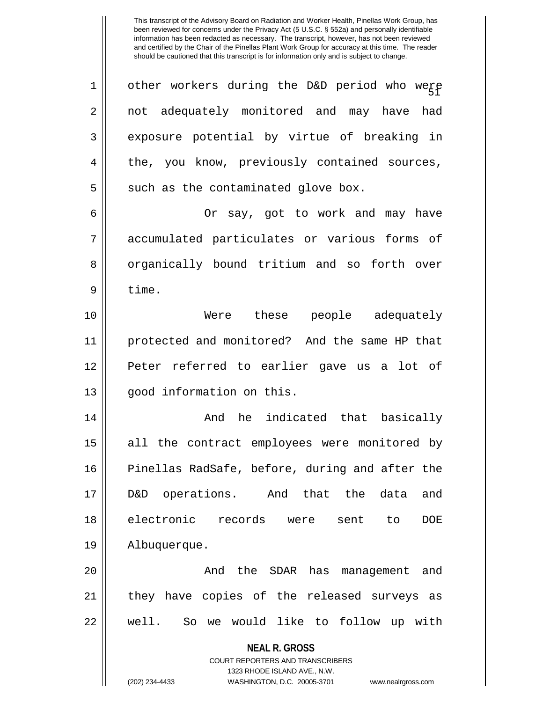**NEAL R. GROSS** COURT REPORTERS AND TRANSCRIBERS 1323 RHODE ISLAND AVE., N.W.  $1$   $\parallel$  other workers during the D&D period who were 2 || not adequately monitored and may have had 3 exposure potential by virtue of breaking in 4 || the, you know, previously contained sources,  $5 \parallel$  such as the contaminated glove box. 6 Or say, got to work and may have 7 || accumulated particulates or various forms of 8 || organically bound tritium and so forth over  $9 \parallel$  time. 10 Were these people adequately 11 protected and monitored? And the same HP that 12 Peter referred to earlier gave us a lot of 13 || qood information on this. 14 And he indicated that basically 15 || all the contract employees were monitored by 16 Pinellas RadSafe, before, during and after the 17 D&D operations. And that the data and 18 electronic records were sent to DOE 19 Albuquerque. 20 And the SDAR has management and 21 || they have copies of the released surveys as 22 || well. So we would like to follow up with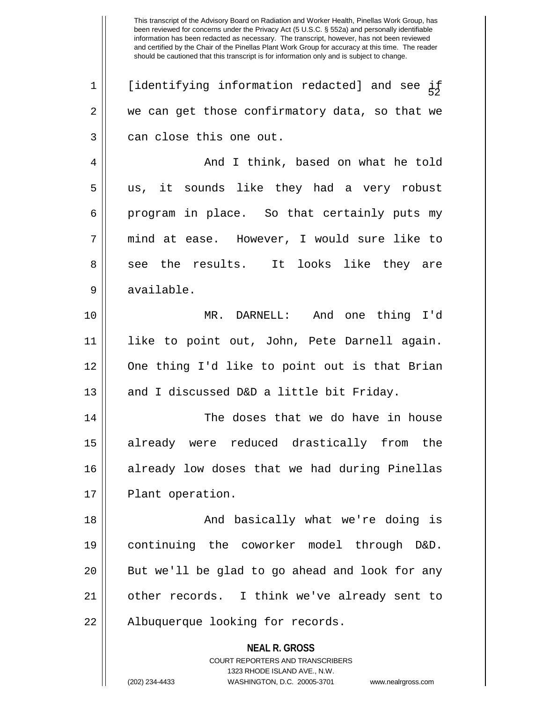**NEAL R. GROSS** COURT REPORTERS AND TRANSCRIBERS 1323 RHODE ISLAND AVE., N.W.  $1$  [identifying information redacted] and see if  $2 \parallel$  we can get those confirmatory data, so that we  $3 \parallel$  can close this one out. 4 And I think, based on what he told 5 us, it sounds like they had a very robust  $6 \parallel$  program in place. So that certainly puts my 7 mind at ease. However, I would sure like to 8 see the results. It looks like they are 9 || available. 10 MR. DARNELL: And one thing I'd 11 || like to point out, John, Pete Darnell again. 12 One thing I'd like to point out is that Brian 13  $\parallel$  and I discussed D&D a little bit Friday. 14 The doses that we do have in house 15 already were reduced drastically from the 16 already low doses that we had during Pinellas 17 || Plant operation. 18 And basically what we're doing is 19 continuing the coworker model through D&D. 20 || But we'll be glad to go ahead and look for any 21 other records. I think we've already sent to 22 || Albuquerque looking for records.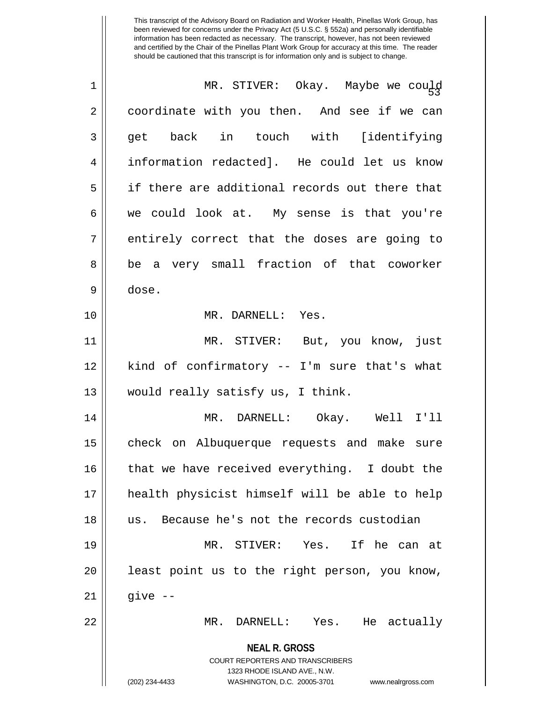| $\mathbf 1$ | MR. STIVER: Okay. Maybe we could                                    |
|-------------|---------------------------------------------------------------------|
| 2           | coordinate with you then. And see if we can                         |
| 3           | get back in touch with [identifying                                 |
| 4           | information redacted]. He could let us know                         |
| 5           | if there are additional records out there that                      |
| 6           | we could look at. My sense is that you're                           |
| 7           | entirely correct that the doses are going to                        |
| 8           | be a very small fraction of that coworker                           |
| 9           | dose.                                                               |
| 10          | MR. DARNELL: Yes.                                                   |
| 11          | MR. STIVER: But, you know, just                                     |
| 12          | kind of confirmatory -- I'm sure that's what                        |
| 13          | would really satisfy us, I think.                                   |
| 14          | MR. DARNELL: Okay. Well I'll                                        |
| 15          | check on Albuquerque requests and make sure                         |
| 16          | that we have received everything. I doubt the                       |
| 17          | health physicist himself will be able to help                       |
| 18          | Because he's not the records custodian<br>us.                       |
| 19          | MR. STIVER: Yes. If he can at                                       |
| 20          | least point us to the right person, you know,                       |
| 21          | give $--$                                                           |
| 22          | DARNELL: Yes. He actually<br>MR.                                    |
|             | <b>NEAL R. GROSS</b>                                                |
|             | <b>COURT REPORTERS AND TRANSCRIBERS</b>                             |
|             | 1323 RHODE ISLAND AVE., N.W.                                        |
|             | (202) 234-4433<br>WASHINGTON, D.C. 20005-3701<br>www.nealrgross.com |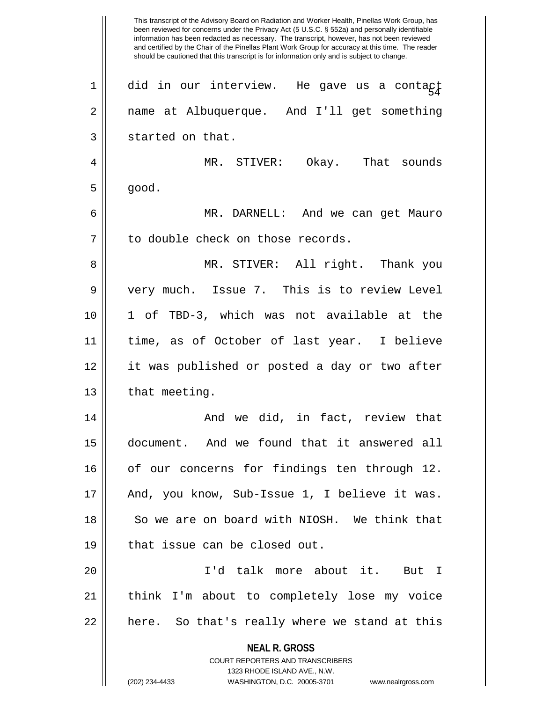**NEAL R. GROSS** COURT REPORTERS AND TRANSCRIBERS 1323 RHODE ISLAND AVE., N.W. (202) 234-4433 WASHINGTON, D.C. 20005-3701 www.nealrgross.com This transcript of the Advisory Board on Radiation and Worker Health, Pinellas Work Group, has been reviewed for concerns under the Privacy Act (5 U.S.C. § 552a) and personally identifiable information has been redacted as necessary. The transcript, however, has not been reviewed and certified by the Chair of the Pinellas Plant Work Group for accuracy at this time. The reader should be cautioned that this transcript is for information only and is subject to change.  $1$   $\parallel$  did in our interview. He gave us a contact 2 name at Albuquerque. And I'll get something  $3 \parallel$  started on that. 4 MR. STIVER: Okay. That sounds  $5 \parallel$  good. 6 MR. DARNELL: And we can get Mauro 7 | to double check on those records. 8 MR. STIVER: All right. Thank you 9 very much. Issue 7. This is to review Level 10 1 of TBD-3, which was not available at the 11 time, as of October of last year. I believe 12 it was published or posted a day or two after  $13$  || that meeting. 14 And we did, in fact, review that 15 document. And we found that it answered all 16 | of our concerns for findings ten through 12. 17 || And, you know, Sub-Issue 1, I believe it was. 18 So we are on board with NIOSH. We think that  $19$  | that issue can be closed out. 20 I'd talk more about it. But I 21 think I'm about to completely lose my voice  $22$  || here. So that's really where we stand at this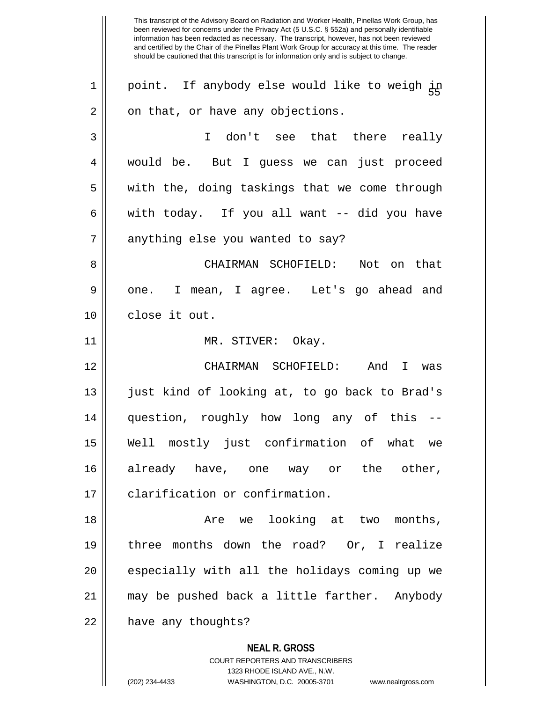**NEAL R. GROSS** COURT REPORTERS AND TRANSCRIBERS 1323 RHODE ISLAND AVE., N.W. This transcript of the Advisory Board on Radiation and Worker Health, Pinellas Work Group, has been reviewed for concerns under the Privacy Act (5 U.S.C. § 552a) and personally identifiable information has been redacted as necessary. The transcript, however, has not been reviewed and certified by the Chair of the Pinellas Plant Work Group for accuracy at this time. The reader should be cautioned that this transcript is for information only and is subject to change. 55 1 point. If anybody else would like to weigh in  $2 \parallel$  on that, or have any objections. 3 I don't see that there really 4 would be. But I guess we can just proceed  $5 \parallel$  with the, doing taskings that we come through  $6 \parallel$  with today. If you all want -- did you have  $7$  | anything else you wanted to say? 8 CHAIRMAN SCHOFIELD: Not on that 9 || one. I mean, I agree. Let's go ahead and 10 close it out. 11 || MR. STIVER: Okay. 12 CHAIRMAN SCHOFIELD: And I was 13 just kind of looking at, to go back to Brad's 14 question, roughly how long any of this -- 15 Well mostly just confirmation of what we 16 already have, one way or the other, 17 | clarification or confirmation. 18 Are we looking at two months, 19 three months down the road? Or, I realize 20 || especially with all the holidays coming up we 21 may be pushed back a little farther. Anybody 22 | have any thoughts?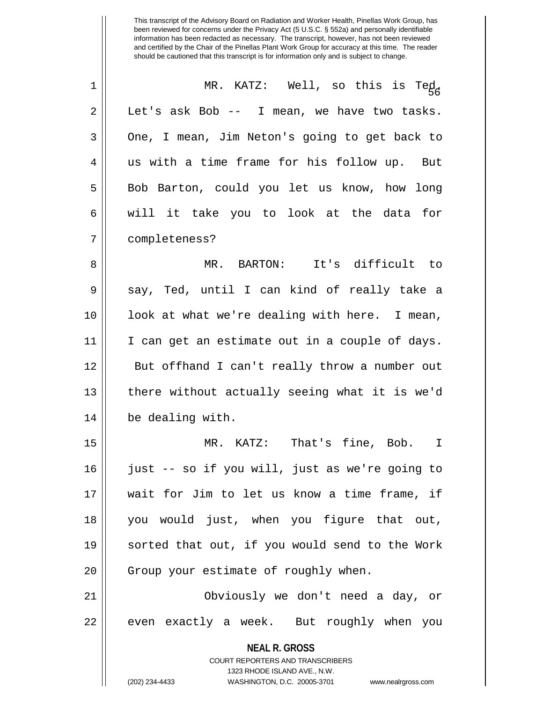| 1  | MR. KATZ: Well, so this is Ted,                          |
|----|----------------------------------------------------------|
| 2  | Let's ask Bob -- I mean, we have two tasks.              |
| 3  | One, I mean, Jim Neton's going to get back to            |
| 4  | us with a time frame for his follow up. But              |
| 5  | Bob Barton, could you let us know, how long              |
| 6  | will it take you to look at the data for                 |
| 7  | completeness?                                            |
| 8  | MR. BARTON: It's difficult to                            |
| 9  | say, Ted, until I can kind of really take a              |
| 10 | look at what we're dealing with here. I mean,            |
| 11 | I can get an estimate out in a couple of days.           |
| 12 | But offhand I can't really throw a number out            |
| 13 | there without actually seeing what it is we'd            |
| 14 | be dealing with.                                         |
| 15 | MR. KATZ: That's fine, Bob. I                            |
| 16 | just -- so if you will, just as we're going to           |
| 17 | wait for Jim to let us know a time frame, if             |
| 18 | you would just, when you figure that out,                |
| 19 | sorted that out, if you would send to the Work           |
| 20 | Group your estimate of roughly when.                     |
| 21 | Obviously we don't need a day, or                        |
| 22 | even exactly a week. But roughly when you                |
|    | <b>NEAL R. GROSS</b><br>COURT REPORTERS AND TRANSCRIBERS |

1323 RHODE ISLAND AVE., N.W.

 $\mathop{\text{||}}$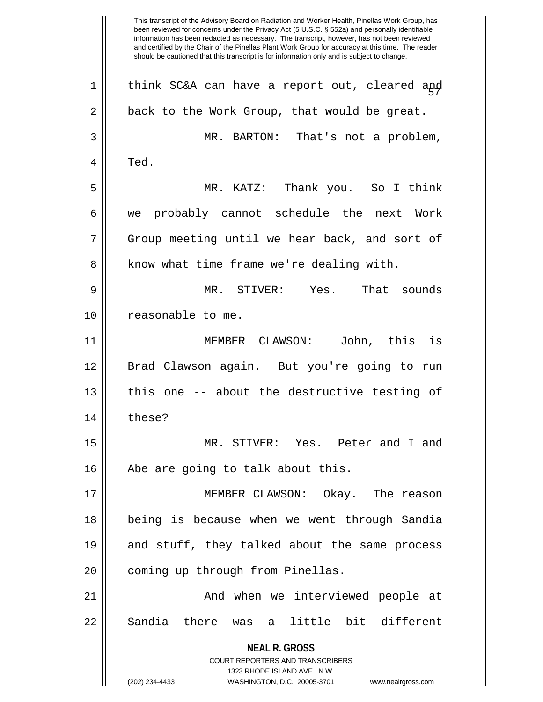**NEAL R. GROSS** COURT REPORTERS AND TRANSCRIBERS 1323 RHODE ISLAND AVE., N.W. (202) 234-4433 WASHINGTON, D.C. 20005-3701 www.nealrgross.com This transcript of the Advisory Board on Radiation and Worker Health, Pinellas Work Group, has been reviewed for concerns under the Privacy Act (5 U.S.C. § 552a) and personally identifiable information has been redacted as necessary. The transcript, however, has not been reviewed and certified by the Chair of the Pinellas Plant Work Group for accuracy at this time. The reader should be cautioned that this transcript is for information only and is subject to change. 57 1 think SC&A can have a report out, cleared and  $2 \parallel$  back to the Work Group, that would be great. 3 MR. BARTON: That's not a problem,  $4 \parallel$  Ted. 5 MR. KATZ: Thank you. So I think 6 we probably cannot schedule the next Work 7 || Group meeting until we hear back, and sort of 8 | know what time frame we're dealing with. 9 MR. STIVER: Yes. That sounds 10 || reasonable to me. 11 MEMBER CLAWSON: John, this is 12 Brad Clawson again. But you're going to run 13 || this one -- about the destructive testing of 14 these? 15 MR. STIVER: Yes. Peter and I and 16 || Abe are going to talk about this. 17 MEMBER CLAWSON: Okay. The reason 18 being is because when we went through Sandia 19 || and stuff, they talked about the same process 20 || coming up through from Pinellas. 21 And when we interviewed people at 22 || Sandia there was a little bit different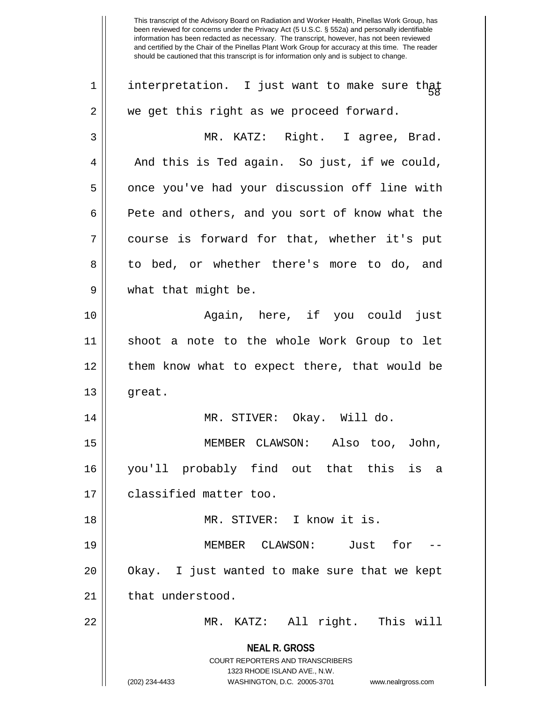**NEAL R. GROSS** COURT REPORTERS AND TRANSCRIBERS 1323 RHODE ISLAND AVE., N.W. (202) 234-4433 WASHINGTON, D.C. 20005-3701 www.nealrgross.com 1 | interpretation. I just want to make sure that  $2 \parallel$  we get this right as we proceed forward. 3 MR. KATZ: Right. I agree, Brad.  $4 \parallel$  And this is Ted again. So just, if we could, 5 || once you've had your discussion off line with 6 **Pete and others, and you sort of know what the** 7 course is forward for that, whether it's put 8 to bed, or whether there's more to do, and 9 what that might be. 10 Again, here, if you could just 11 shoot a note to the whole Work Group to let 12 || them know what to expect there, that would be 13 || great. 14 MR. STIVER: Okay. Will do. 15 MEMBER CLAWSON: Also too, John, 16 you'll probably find out that this is a 17 **d** classified matter too. 18 MR. STIVER: I know it is. 19 MEMBER CLAWSON: Just for -- 20 || Okay. I just wanted to make sure that we kept 21 | that understood. 22 MR. KATZ: All right. This will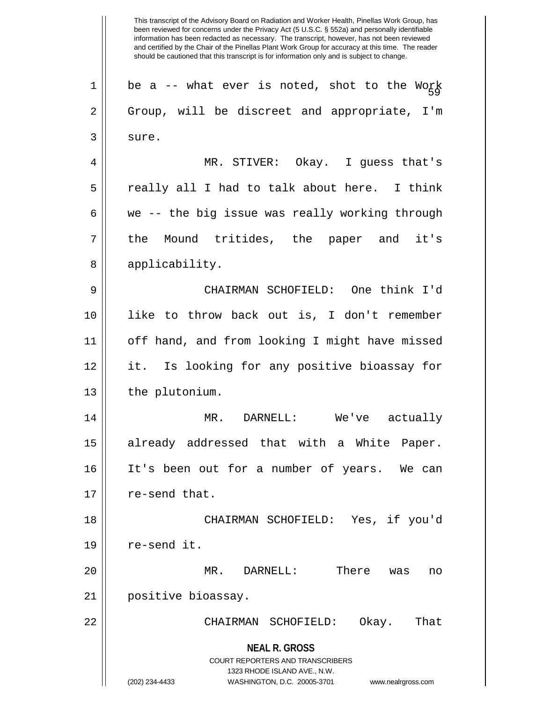**NEAL R. GROSS** COURT REPORTERS AND TRANSCRIBERS 1323 RHODE ISLAND AVE., N.W. (202) 234-4433 WASHINGTON, D.C. 20005-3701 www.nealrgross.com 1  $\parallel$  be a -- what ever is noted, shot to the Work 2 || Group, will be discreet and appropriate, I'm  $3 \parallel$  sure. 4 MR. STIVER: Okay. I guess that's  $5 \parallel$  really all I had to talk about here. I think 6  $\parallel$  we -- the big issue was really working through 7 the Mound tritides, the paper and it's 8 || applicability. 9 CHAIRMAN SCHOFIELD: One think I'd 10 like to throw back out is, I don't remember 11 || off hand, and from looking I might have missed 12 it. Is looking for any positive bioassay for 13 | the plutonium. 14 MR. DARNELL: We've actually 15 || already addressed that with a White Paper. 16 It's been out for a number of years. We can  $17 \parallel$  re-send that. 18 CHAIRMAN SCHOFIELD: Yes, if you'd  $19$  | re-send it. 20 MR. DARNELL: There was no 21 positive bioassay. 22 CHAIRMAN SCHOFIELD: Okay. That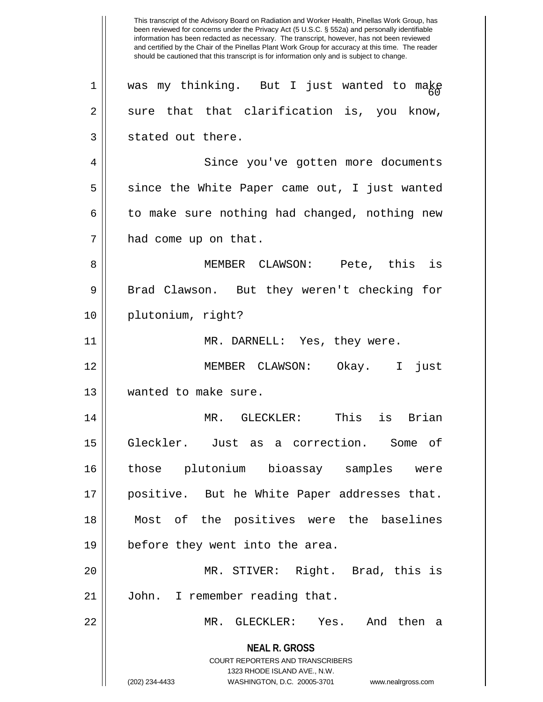**NEAL R. GROSS** COURT REPORTERS AND TRANSCRIBERS 1323 RHODE ISLAND AVE., N.W. (202) 234-4433 WASHINGTON, D.C. 20005-3701 www.nealrgross.com This transcript of the Advisory Board on Radiation and Worker Health, Pinellas Work Group, has been reviewed for concerns under the Privacy Act (5 U.S.C. § 552a) and personally identifiable information has been redacted as necessary. The transcript, however, has not been reviewed and certified by the Chair of the Pinellas Plant Work Group for accuracy at this time. The reader should be cautioned that this transcript is for information only and is subject to change.  $1$  | was my thinking. But I just wanted to make  $2 \parallel$  sure that that clarification is, you know,  $3 \parallel$  stated out there. 4 || Since you've gotten more documents  $5 \parallel$  since the White Paper came out, I just wanted  $6 \parallel$  to make sure nothing had changed, nothing new 7 | had come up on that. 8 MEMBER CLAWSON: Pete, this is 9 || Brad Clawson. But they weren't checking for 10 plutonium, right? 11 || MR. DARNELL: Yes, they were. 12 MEMBER CLAWSON: Okay. I just 13 Wanted to make sure. 14 MR. GLECKLER: This is Brian 15 Gleckler. Just as a correction. Some of 16 those plutonium bioassay samples were 17 positive. But he White Paper addresses that. 18 Most of the positives were the baselines 19 before they went into the area. 20 MR. STIVER: Right. Brad, this is 21 | John. I remember reading that. 22 MR. GLECKLER: Yes. And then a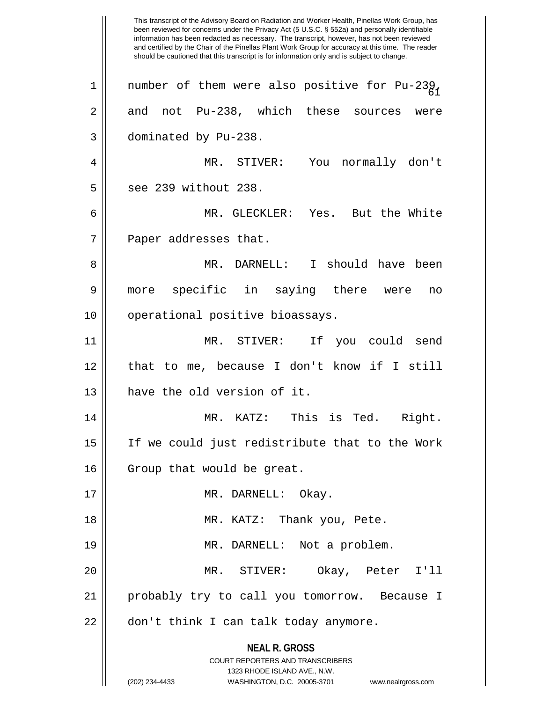**NEAL R. GROSS** COURT REPORTERS AND TRANSCRIBERS 1323 RHODE ISLAND AVE., N.W. (202) 234-4433 WASHINGTON, D.C. 20005-3701 www.nealrgross.com This transcript of the Advisory Board on Radiation and Worker Health, Pinellas Work Group, has been reviewed for concerns under the Privacy Act (5 U.S.C. § 552a) and personally identifiable information has been redacted as necessary. The transcript, however, has not been reviewed and certified by the Chair of the Pinellas Plant Work Group for accuracy at this time. The reader should be cautioned that this transcript is for information only and is subject to change. 1 | number of them were also positive for Pu-23 $\beta_{1}$  $2 \parallel$  and not Pu-238, which these sources were 3 dominated by Pu-238. 4 MR. STIVER: You normally don't 5 || see 239 without 238. 6 MR. GLECKLER: Yes. But the White  $7$  || Paper addresses that. 8 MR. DARNELL: I should have been 9 more specific in saying there were no 10 || operational positive bioassays. 11 MR. STIVER: If you could send 12 that to me, because I don't know if I still 13 **have the old version of it.** 14 MR. KATZ: This is Ted. Right. 15 If we could just redistribute that to the Work 16 | Group that would be great. 17 || MR. DARNELL: Okay. 18 || MR. KATZ: Thank you, Pete. 19 MR. DARNELL: Not a problem. 20 MR. STIVER: Okay, Peter I'll 21 probably try to call you tomorrow. Because I 22 || don't think I can talk today anymore.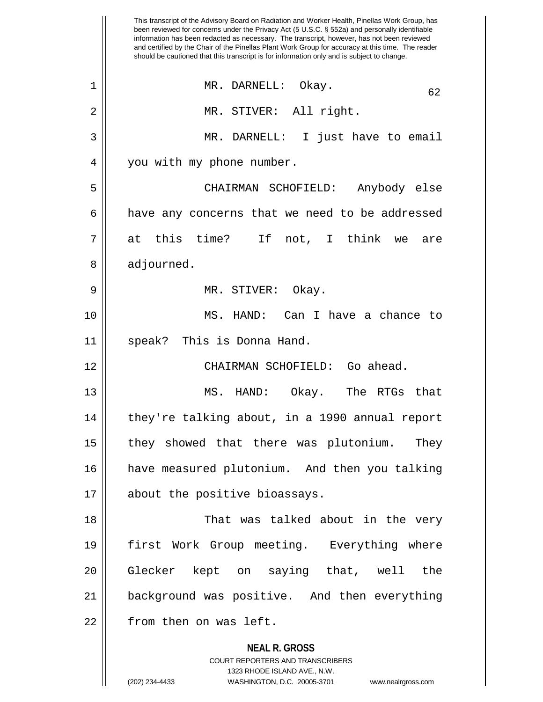**NEAL R. GROSS** COURT REPORTERS AND TRANSCRIBERS 1323 RHODE ISLAND AVE., N.W. This transcript of the Advisory Board on Radiation and Worker Health, Pinellas Work Group, has been reviewed for concerns under the Privacy Act (5 U.S.C. § 552a) and personally identifiable information has been redacted as necessary. The transcript, however, has not been reviewed and certified by the Chair of the Pinellas Plant Work Group for accuracy at this time. The reader should be cautioned that this transcript is for information only and is subject to change. 1 MR. DARNELL: Okay. 62 2 || MR. STIVER: All right. 3 MR. DARNELL: I just have to email 4 | you with my phone number. 5 CHAIRMAN SCHOFIELD: Anybody else  $6 \parallel$  have any concerns that we need to be addressed  $7 \parallel$  at this time? If not, I think we are 8 | adjourned. 9 MR. STIVER: Okay. 10 MS. HAND: Can I have a chance to 11 speak? This is Donna Hand. 12 CHAIRMAN SCHOFIELD: Go ahead. 13 MS. HAND: Okay. The RTGs that 14 || they're talking about, in a 1990 annual report 15 || they showed that there was plutonium. They 16 have measured plutonium. And then you talking 17 || about the positive bioassays. 18 That was talked about in the very 19 first Work Group meeting. Everything where 20 Glecker kept on saying that, well the 21 background was positive. And then everything 22 | from then on was left.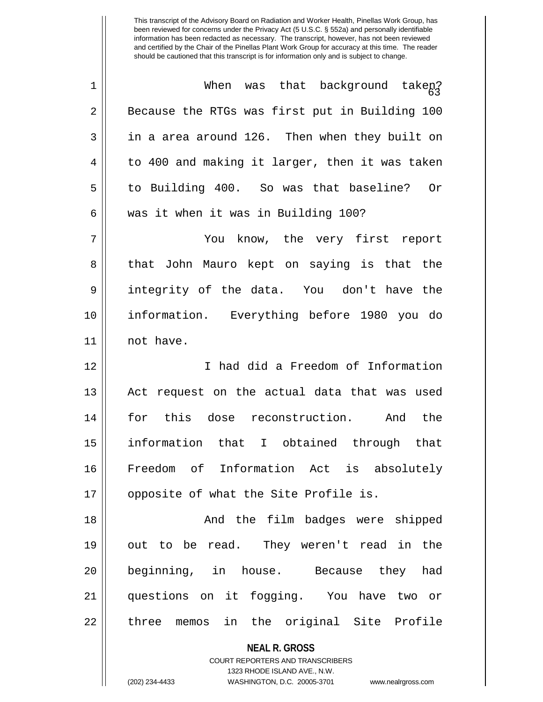| $\mathbf 1$ | When was that background takep?                |
|-------------|------------------------------------------------|
| 2           | Because the RTGs was first put in Building 100 |
| 3           | in a area around 126. Then when they built on  |
| 4           | to 400 and making it larger, then it was taken |
| 5           | to Building 400. So was that baseline? Or      |
| 6           | was it when it was in Building 100?            |
| 7           | You know, the very first report                |
| 8           | that John Mauro kept on saying is that the     |
| $\mathsf 9$ | integrity of the data. You don't have the      |
| 10          | information. Everything before 1980 you do     |
| 11          | not have.                                      |
| 12          | I had did a Freedom of Information             |
| 13          | Act request on the actual data that was used   |
| 14          | for this dose reconstruction.<br>And the       |
| 15          | information that I obtained through that       |
| 16          | Freedom of Information Act is absolutely       |
| 17          | opposite of what the Site Profile is.          |
| 18          | And the film badges were shipped               |
| 19          | out to be read. They weren't read in the       |
| 20          | beginning, in house. Because they had          |
| 21          | questions on it fogging. You have two or       |
| 22          | three memos in the original Site Profile       |
|             | <b>NEAL R. GROSS</b>                           |

COURT REPORTERS AND TRANSCRIBERS 1323 RHODE ISLAND AVE., N.W.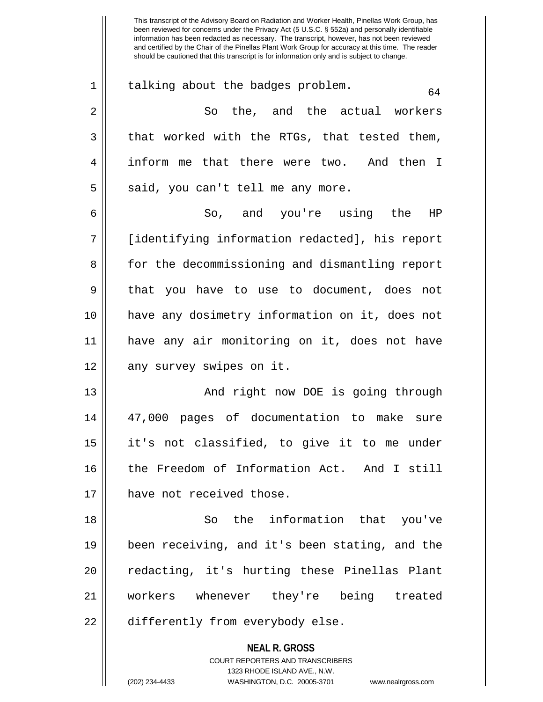**NEAL R. GROSS** COURT REPORTERS AND TRANSCRIBERS been reviewed for concerns under the Privacy Act (5 U.S.C. § 552a) and personally identifiable information has been redacted as necessary. The transcript, however, has not been reviewed and certified by the Chair of the Pinellas Plant Work Group for accuracy at this time. The reader should be cautioned that this transcript is for information only and is subject to change.  $1 \parallel$  talking about the badges problem. 2 So the, and the actual workers  $3 \parallel$  that worked with the RTGs, that tested them, 4 || inform me that there were two. And then I  $5 \parallel$  said, you can't tell me any more. 6 So, and you're using the HP 7 [identifying information redacted], his report 8 for the decommissioning and dismantling report 9 || that you have to use to document, does not 10 have any dosimetry information on it, does not 11 have any air monitoring on it, does not have 12 || any survey swipes on it. 13 || And right now DOE is going through 14 47,000 pages of documentation to make sure 15 it's not classified, to give it to me under 16 the Freedom of Information Act. And I still 17 || have not received those. 18 So the information that you've 19 been receiving, and it's been stating, and the 20 || redacting, it's hurting these Pinellas Plant 21 workers whenever they're being treated 22 | differently from everybody else.

This transcript of the Advisory Board on Radiation and Worker Health, Pinellas Work Group, has

1323 RHODE ISLAND AVE., N.W.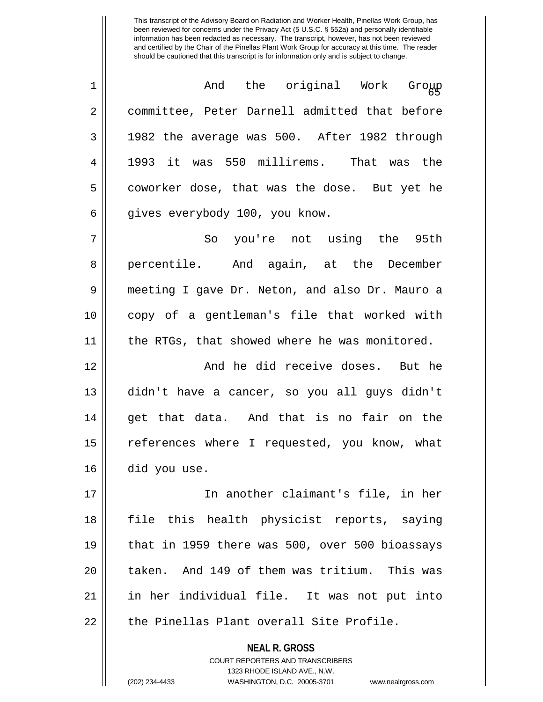<sup>65</sup> 1 And the original Work Group 2 committee, Peter Darnell admitted that before  $3 \parallel$  1982 the average was 500. After 1982 through 4 1993 it was 550 millirems. That was the 5 coworker dose, that was the dose. But yet he 6 | gives everybody 100, you know.

7 So you're not using the 95th 8 || percentile. And again, at the December 9 meeting I gave Dr. Neton, and also Dr. Mauro a 10 copy of a gentleman's file that worked with 11 || the RTGs, that showed where he was monitored.

12 And he did receive doses. But he 13 didn't have a cancer, so you all guys didn't 14 || get that data. And that is no fair on the 15 || references where I requested, you know, what 16 did you use.

17 In another claimant's file, in her 18 file this health physicist reports, saying 19  $\parallel$  that in 1959 there was 500, over 500 bioassays 20 || taken. And 149 of them was tritium. This was 21 in her individual file. It was not put into  $22$   $\parallel$  the Pinellas Plant overall Site Profile.

> **NEAL R. GROSS** COURT REPORTERS AND TRANSCRIBERS 1323 RHODE ISLAND AVE., N.W. (202) 234-4433 WASHINGTON, D.C. 20005-3701 www.nealrgross.com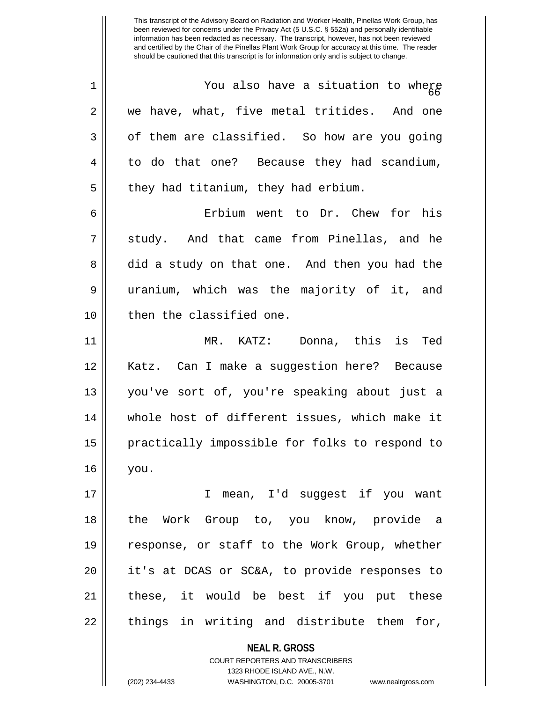**NEAL R. GROSS**  $1$   $\parallel$  You also have a situation to where  $2 \parallel$  we have, what, five metal tritides. And one  $3 \parallel$  of them are classified. So how are you going 4 || to do that one? Because they had scandium,  $5 \parallel$  they had titanium, they had erbium. 6 Erbium went to Dr. Chew for his 7 Study. And that came from Pinellas, and he 8 did a study on that one. And then you had the 9 uranium, which was the majority of it, and 10 || then the classified one. 11 MR. KATZ: Donna, this is Ted 12 Katz. Can I make a suggestion here? Because 13 you've sort of, you're speaking about just a 14 || whole host of different issues, which make it 15 || practically impossible for folks to respond to 16 you. 17 I mean, I'd suggest if you want 18 the Work Group to, you know, provide a 19 response, or staff to the Work Group, whether 20 it's at DCAS or SC&A, to provide responses to  $21$  || these, it would be best if you put these  $22$  || things in writing and distribute them for,

> COURT REPORTERS AND TRANSCRIBERS 1323 RHODE ISLAND AVE., N.W.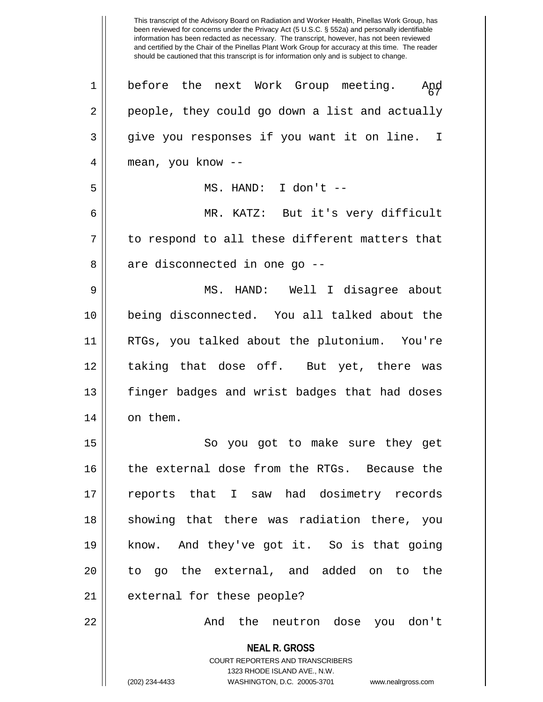**NEAL R. GROSS** COURT REPORTERS AND TRANSCRIBERS 1323 RHODE ISLAND AVE., N.W. (202) 234-4433 WASHINGTON, D.C. 20005-3701 www.nealrgross.com been reviewed for concerns under the Privacy Act (5 U.S.C. § 552a) and personally identifiable information has been redacted as necessary. The transcript, however, has not been reviewed and certified by the Chair of the Pinellas Plant Work Group for accuracy at this time. The reader should be cautioned that this transcript is for information only and is subject to change. 1 || before the next Work Group meeting. And<br>|-2 people, they could go down a list and actually 3 || give you responses if you want it on line. I 4 || mean, you know --5 MS. HAND: I don't -- 6 MR. KATZ: But it's very difficult  $7$  | to respond to all these different matters that  $8 \parallel$  are disconnected in one go  $-$ 9 MS. HAND: Well I disagree about 10 being disconnected. You all talked about the 11 RTGs, you talked about the plutonium. You're 12 || taking that dose off. But yet, there was 13 finger badges and wrist badges that had doses  $14$  | on them. 15 || So you got to make sure they get 16 || the external dose from the RTGs. Because the 17 reports that I saw had dosimetry records 18 || showing that there was radiation there, you 19 know. And they've got it. So is that going 20 || to go the external, and added on to the 21 | external for these people? 22 And the neutron dose you don't

This transcript of the Advisory Board on Radiation and Worker Health, Pinellas Work Group, has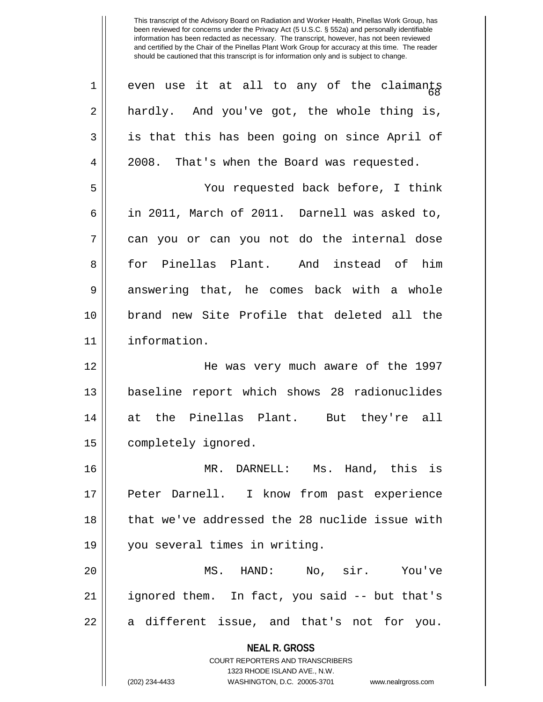**NEAL R. GROSS** COURT REPORTERS AND TRANSCRIBERS 1323 RHODE ISLAND AVE., N.W. (202) 234-4433 WASHINGTON, D.C. 20005-3701 www.nealrgross.com 1 even use it at all to any of the claimants 2 hardly. And you've got, the whole thing is,  $3 \parallel$  is that this has been going on since April of 4 2008. That's when the Board was requested. 5 You requested back before, I think 6 in 2011, March of 2011. Darnell was asked to,  $7 \parallel$  can you or can you not do the internal dose 8 for Pinellas Plant. And instead of him 9 answering that, he comes back with a whole 10 brand new Site Profile that deleted all the 11 information. 12 He was very much aware of the 1997 13 || baseline report which shows 28 radionuclides 14 at the Pinellas Plant. But they're all 15 | completely ignored. 16 MR. DARNELL: Ms. Hand, this is 17 Peter Darnell. I know from past experience 18 that we've addressed the 28 nuclide issue with 19 you several times in writing. 20 MS. HAND: No, sir. You've 21 ignored them. In fact, you said -- but that's  $22 \parallel$  a different issue, and that's not for you.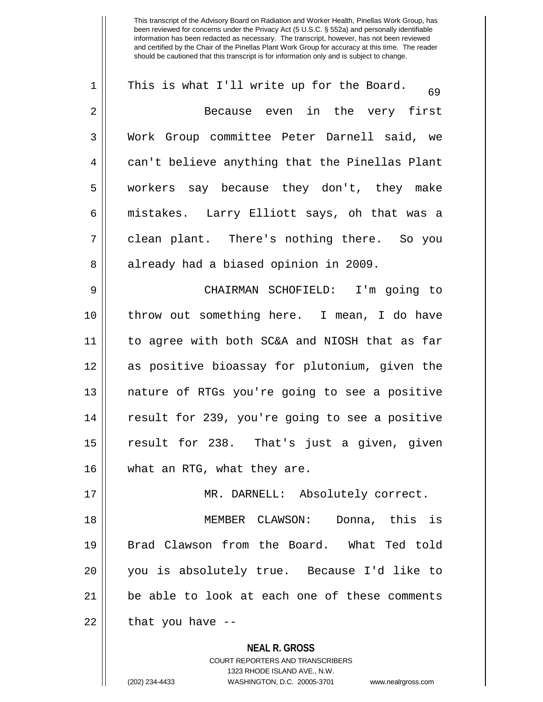**NEAL R. GROSS** COURT REPORTERS AND TRANSCRIBERS 1 || This is what I'll write up for the Board.  $\frac{69}{69}$ 2 Because even in the very first 3 Work Group committee Peter Darnell said, we 4 || can't believe anything that the Pinellas Plant 5 workers say because they don't, they make 6 mistakes. Larry Elliott says, oh that was a 7 clean plant. There's nothing there. So you 8 || already had a biased opinion in 2009. 9 CHAIRMAN SCHOFIELD: I'm going to 10 throw out something here. I mean, I do have 11 to agree with both SC&A and NIOSH that as far 12 as positive bioassay for plutonium, given the 13 nature of RTGs you're going to see a positive 14 || result for 239, you're going to see a positive 15 result for 238. That's just a given, given 16 what an RTG, what they are. 17 MR. DARNELL: Absolutely correct. 18 MEMBER CLAWSON: Donna, this is 19 Brad Clawson from the Board. What Ted told 20 you is absolutely true. Because I'd like to 21 be able to look at each one of these comments  $22$  || that you have --

1323 RHODE ISLAND AVE., N.W.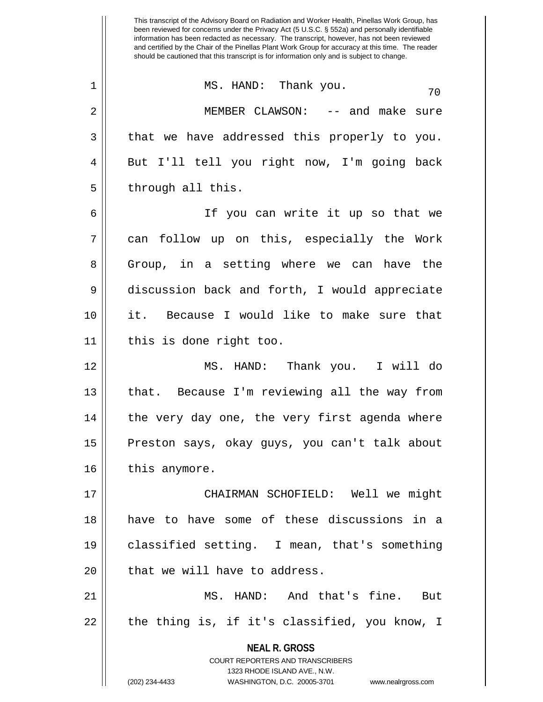**NEAL R. GROSS** COURT REPORTERS AND TRANSCRIBERS 1323 RHODE ISLAND AVE., N.W. (202) 234-4433 WASHINGTON, D.C. 20005-3701 www.nealrgross.com been reviewed for concerns under the Privacy Act (5 U.S.C. § 552a) and personally identifiable information has been redacted as necessary. The transcript, however, has not been reviewed and certified by the Chair of the Pinellas Plant Work Group for accuracy at this time. The reader should be cautioned that this transcript is for information only and is subject to change.  $\begin{array}{c|cccc}\n1 & \text{MS. HAND:} & \text{Thank you.} \\
\end{array}$ 2 MEMBER CLAWSON: -- and make sure  $3 \parallel$  that we have addressed this properly to you. 4 || But I'll tell you right now, I'm going back  $5$  || through all this. 6 If you can write it up so that we 7 can follow up on this, especially the Work 8 Group, in a setting where we can have the 9 discussion back and forth, I would appreciate 10 it. Because I would like to make sure that 11 this is done right too. 12 MS. HAND: Thank you. I will do 13 || that. Because I'm reviewing all the way from 14 || the very day one, the very first agenda where 15 || Preston says, okay guys, you can't talk about 16 | this anymore. 17 CHAIRMAN SCHOFIELD: Well we might 18 have to have some of these discussions in a 19 classified setting. I mean, that's something  $20$  || that we will have to address. 21 MS. HAND: And that's fine. But  $22 \parallel$  the thing is, if it's classified, you know, I

This transcript of the Advisory Board on Radiation and Worker Health, Pinellas Work Group, has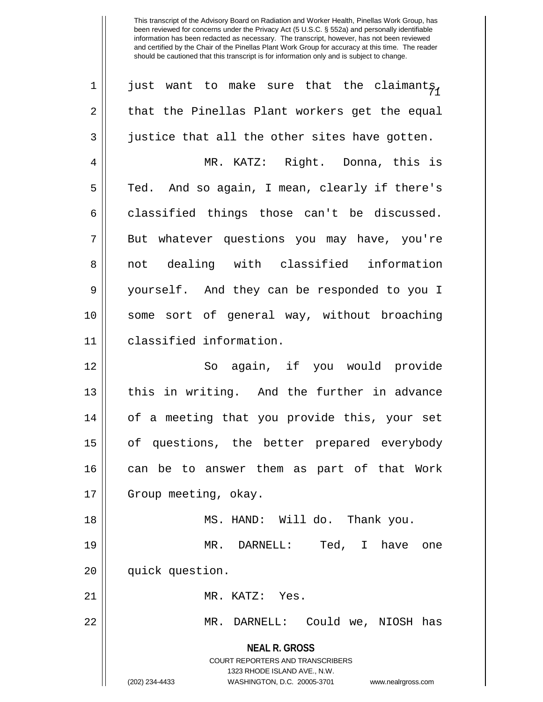| $\mathbf 1$ | just want to make sure that the claimants,                                                          |
|-------------|-----------------------------------------------------------------------------------------------------|
| 2           | that the Pinellas Plant workers get the equal                                                       |
| 3           | justice that all the other sites have gotten.                                                       |
| 4           | MR. KATZ: Right. Donna, this is                                                                     |
| 5           | Ted. And so again, I mean, clearly if there's                                                       |
| 6           | classified things those can't be discussed.                                                         |
| 7           | But whatever questions you may have, you're                                                         |
| 8           | not dealing with classified information                                                             |
| $\mathsf 9$ | yourself. And they can be responded to you I                                                        |
| 10          | some sort of general way, without broaching                                                         |
| 11          | classified information.                                                                             |
| 12          | So again, if you would provide                                                                      |
| 13          | this in writing. And the further in advance                                                         |
| 14          | of a meeting that you provide this, your set                                                        |
| 15          | of questions, the better prepared everybody                                                         |
| 16          | can be to answer them as part of that Work                                                          |
| 17          | Group meeting, okay.                                                                                |
| 18          | MS. HAND: Will do. Thank you.                                                                       |
| 19          | Ted, I have one<br>MR. DARNELL:                                                                     |
| 20          | quick question.                                                                                     |
| 21          | MR. KATZ: Yes.                                                                                      |
| 22          | MR. DARNELL: Could we, NIOSH has                                                                    |
|             | <b>NEAL R. GROSS</b>                                                                                |
|             | <b>COURT REPORTERS AND TRANSCRIBERS</b>                                                             |
|             | 1323 RHODE ISLAND AVE., N.W.<br>(202) 234-4433<br>WASHINGTON, D.C. 20005-3701<br>www.nealrgross.com |
|             |                                                                                                     |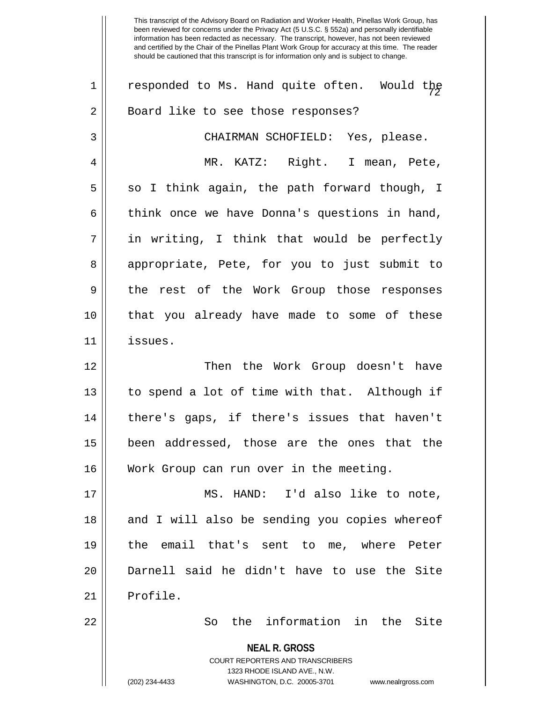**NEAL R. GROSS** COURT REPORTERS AND TRANSCRIBERS 1323 RHODE ISLAND AVE., N.W. 1  $\parallel$  responded to Ms. Hand quite often. Would the 2 || Board like to see those responses? 3 CHAIRMAN SCHOFIELD: Yes, please. 4 MR. KATZ: Right. I mean, Pete,  $5 \parallel$  so I think again, the path forward though, I  $6 \parallel$  think once we have Donna's questions in hand,  $7 \parallel$  in writing, I think that would be perfectly 8 appropriate, Pete, for you to just submit to 9 || the rest of the Work Group those responses 10 that you already have made to some of these 11 issues. 12 Then the Work Group doesn't have 13 || to spend a lot of time with that. Although if 14 there's gaps, if there's issues that haven't 15 been addressed, those are the ones that the 16 || Work Group can run over in the meeting. 17 MS. HAND: I'd also like to note, 18 || and I will also be sending you copies whereof 19 the email that's sent to me, where Peter 20 Darnell said he didn't have to use the Site 21 | Profile. 22 So the information in the Site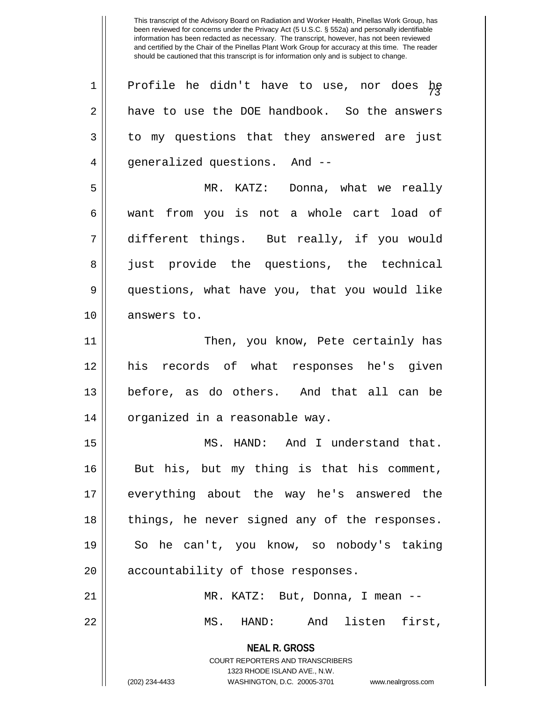This transcript of the Advisory Board on Radiation and Worker Health, Pinellas Work Group, has been reviewed for concerns under the Privacy Act (5 U.S.C. § 552a) and personally identifiable information has been redacted as necessary. The transcript, however, has not been reviewed and certified by the Chair of the Pinellas Plant Work Group for accuracy at this time. The reader should be cautioned that this transcript is for information only and is subject to change.

| 1  | Profile he didn't have to use, nor does $h_{\xi}$                                                |
|----|--------------------------------------------------------------------------------------------------|
| 2  | have to use the DOE handbook. So the answers                                                     |
| 3  | to my questions that they answered are just                                                      |
| 4  | generalized questions. And --                                                                    |
| 5  | MR. KATZ: Donna, what we really                                                                  |
| 6  | want from you is not a whole cart load of                                                        |
| 7  | different things. But really, if you would                                                       |
| 8  | just provide the questions, the technical                                                        |
| 9  | questions, what have you, that you would like                                                    |
| 10 | answers to.                                                                                      |
| 11 | Then, you know, Pete certainly has                                                               |
| 12 | his records of what responses he's given                                                         |
| 13 | before, as do others. And that all can be                                                        |
| 14 | organized in a reasonable way.                                                                   |
| 15 | MS. HAND: And I understand that.                                                                 |
| 16 | But his, but my thing is that his comment,                                                       |
| 17 | everything about the way he's answered the                                                       |
| 18 | things, he never signed any of the responses.                                                    |
| 19 | So he can't, you know, so nobody's taking                                                        |
| 20 | accountability of those responses.                                                               |
| 21 | MR. KATZ: But, Donna, I mean --                                                                  |
| 22 | MS. HAND: And listen first,                                                                      |
|    | <b>NEAL R. GROSS</b>                                                                             |
|    | <b>COURT REPORTERS AND TRANSCRIBERS</b>                                                          |
|    | 1323 RHODE ISLAND AVE., N.W.<br>(202) 234-4433<br>WASHINGTON, D.C. 20005-3701 www.nealrgross.com |
|    |                                                                                                  |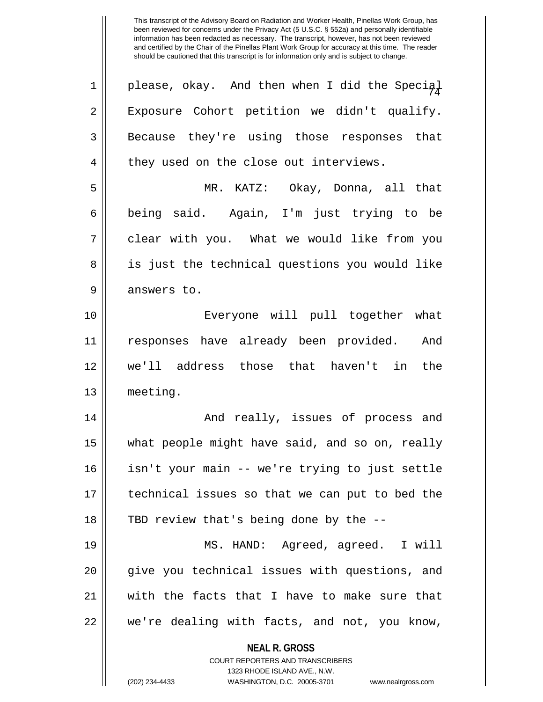This transcript of the Advisory Board on Radiation and Worker Health, Pinellas Work Group, has been reviewed for concerns under the Privacy Act (5 U.S.C. § 552a) and personally identifiable information has been redacted as necessary. The transcript, however, has not been reviewed and certified by the Chair of the Pinellas Plant Work Group for accuracy at this time. The reader should be cautioned that this transcript is for information only and is subject to change.

| 1  | please, okay. And then when I did the Special                    |
|----|------------------------------------------------------------------|
| 2  | Exposure Cohort petition we didn't qualify.                      |
| 3  | Because they're using those responses that                       |
| 4  | they used on the close out interviews.                           |
| 5  | MR. KATZ: Okay, Donna, all that                                  |
| 6  | being said. Again, I'm just trying to be                         |
| 7  | clear with you. What we would like from you                      |
| 8  | is just the technical questions you would like                   |
| 9  | answers to.                                                      |
| 10 | Everyone will pull together what                                 |
| 11 | responses have already been provided. And                        |
| 12 | we'll address those that haven't in the                          |
| 13 | meeting.                                                         |
| 14 | And really, issues of process and                                |
| 15 | what people might have said, and so on, really                   |
| 16 | isn't your main -- we're trying to just settle                   |
| 17 | technical issues so that we can put to bed the                   |
| 18 | TBD review that's being done by the --                           |
| 19 | MS. HAND: Agreed, agreed. I will                                 |
| 20 | give you technical issues with questions, and                    |
| 21 | with the facts that I have to make sure that                     |
| 22 | we're dealing with facts, and not, you know,                     |
|    | <b>NEAL R. GROSS</b>                                             |
|    | <b>COURT REPORTERS AND TRANSCRIBERS</b>                          |
|    | 1323 RHODE ISLAND AVE., N.W.                                     |
|    | (202) 234-4433<br>WASHINGTON, D.C. 20005-3701 www.nealrgross.com |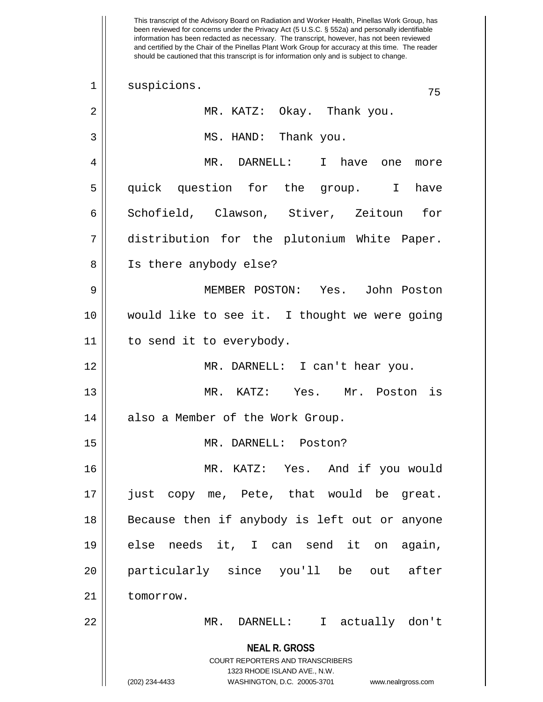**NEAL R. GROSS** COURT REPORTERS AND TRANSCRIBERS 1323 RHODE ISLAND AVE., N.W. (202) 234-4433 WASHINGTON, D.C. 20005-3701 www.nealrgross.com This transcript of the Advisory Board on Radiation and Worker Health, Pinellas Work Group, has been reviewed for concerns under the Privacy Act (5 U.S.C. § 552a) and personally identifiable information has been redacted as necessary. The transcript, however, has not been reviewed and certified by the Chair of the Pinellas Plant Work Group for accuracy at this time. The reader should be cautioned that this transcript is for information only and is subject to change. 75 1 || suspicions. 2 MR. KATZ: Okay. Thank you. 3 || MS. HAND: Thank you. 4 MR. DARNELL: I have one more 5 quick question for the group. I have 6 || Schofield, Clawson, Stiver, Zeitoun for 7 distribution for the plutonium White Paper. 8 || Is there anybody else? 9 MEMBER POSTON: Yes. John Poston 10 would like to see it. I thought we were going 11 || to send it to everybody. 12 MR. DARNELL: I can't hear you. 13 MR. KATZ: Yes. Mr. Poston is 14 || also a Member of the Work Group. 15 MR. DARNELL: Poston? 16 MR. KATZ: Yes. And if you would 17 || just copy me, Pete, that would be great. 18 || Because then if anybody is left out or anyone 19 else needs it, I can send it on again, 20 particularly since you'll be out after 21 | tomorrow. 22 MR. DARNELL: I actually don't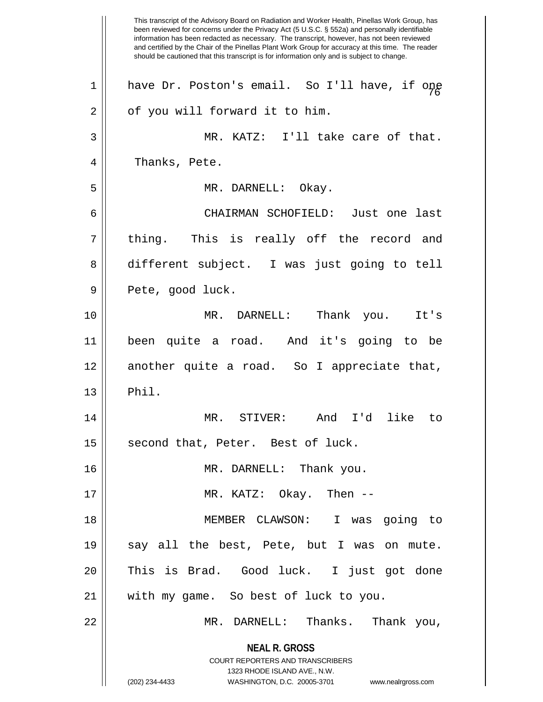**NEAL R. GROSS** COURT REPORTERS AND TRANSCRIBERS 1323 RHODE ISLAND AVE., N.W. (202) 234-4433 WASHINGTON, D.C. 20005-3701 www.nealrgross.com This transcript of the Advisory Board on Radiation and Worker Health, Pinellas Work Group, has been reviewed for concerns under the Privacy Act (5 U.S.C. § 552a) and personally identifiable information has been redacted as necessary. The transcript, however, has not been reviewed and certified by the Chair of the Pinellas Plant Work Group for accuracy at this time. The reader should be cautioned that this transcript is for information only and is subject to change. 1 || have Dr. Poston's email. So I'll have, if one  $2 \parallel$  of you will forward it to him. 3 MR. KATZ: I'll take care of that. 4 || Thanks, Pete. 5 MR. DARNELL: Okay. 6 CHAIRMAN SCHOFIELD: Just one last  $7 \parallel$  thing. This is really off the record and 8 different subject. I was just going to tell 9 || Pete, good luck. 10 MR. DARNELL: Thank you. It's 11 been quite a road. And it's going to be 12 another quite a road. So I appreciate that,  $13 \parallel$  Phil. 14 MR. STIVER: And I'd like to 15 || second that, Peter. Best of luck. 16 MR. DARNELL: Thank you. 17 MR. KATZ: Okay. Then -- 18 MEMBER CLAWSON: I was going to 19 || say all the best, Pete, but I was on mute. 20 This is Brad. Good luck. I just got done 21 || with my game. So best of luck to you. 22 MR. DARNELL: Thanks. Thank you,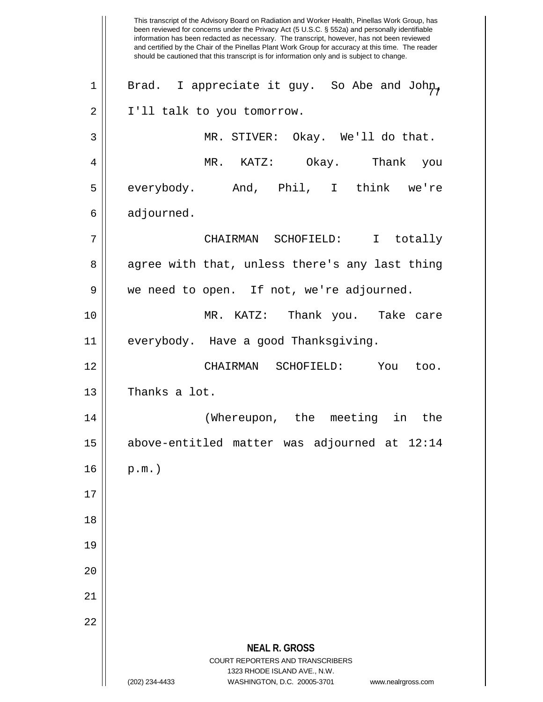**NEAL R. GROSS** COURT REPORTERS AND TRANSCRIBERS 1323 RHODE ISLAND AVE., N.W. (202) 234-4433 WASHINGTON, D.C. 20005-3701 www.nealrgross.com This transcript of the Advisory Board on Radiation and Worker Health, Pinellas Work Group, has been reviewed for concerns under the Privacy Act (5 U.S.C. § 552a) and personally identifiable information has been redacted as necessary. The transcript, however, has not been reviewed and certified by the Chair of the Pinellas Plant Work Group for accuracy at this time. The reader should be cautioned that this transcript is for information only and is subject to change. So Abe and John,  $1 ||$  Brad. I appreciate it guy. 2 | I'll talk to you tomorrow. 3 MR. STIVER: Okay. We'll do that. 4 MR. KATZ: Okay. Thank you 5 everybody. And, Phil, I think we're  $6 \parallel$  adjourned. 7 CHAIRMAN SCHOFIELD: I totally 8 agree with that, unless there's any last thing 9 || we need to open. If not, we're adjourned. 10 MR. KATZ: Thank you. Take care 11 || everybody. Have a good Thanksgiving. 12 CHAIRMAN SCHOFIELD: You too. 13 Thanks a lot. 14 (Whereupon, the meeting in the 15 above-entitled matter was adjourned at 12:14  $16 \parallel p.m.$ 17 18 19 20 21 22